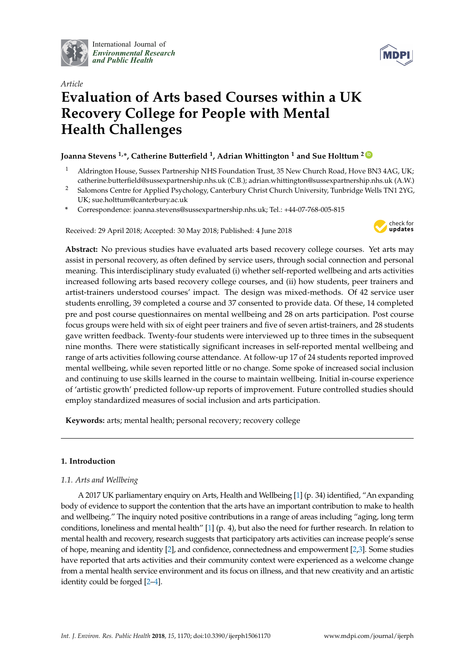

International Journal of *[Environmental Research](http://www.mdpi.com/journal/ijerph) and Public Health*



# *Article* **Evaluation of Arts based Courses within a UK Recovery College for People with Mental Health Challenges**

# **Joanna Stevens 1,\*, Catherine Butterfield <sup>1</sup> , Adrian Whittington <sup>1</sup> and Sue Holttum <sup>2</sup> [ID](https://orcid.org/0000-0003-2618-8518)**

- <sup>1</sup> Aldrington House, Sussex Partnership NHS Foundation Trust, 35 New Church Road, Hove BN3 4AG, UK; catherine.butterfield@sussexpartnership.nhs.uk (C.B.); adrian.whittington@sussexpartnership.nhs.uk (A.W.)
- <sup>2</sup> Salomons Centre for Applied Psychology, Canterbury Christ Church University, Tunbridge Wells TN1 2YG, UK; sue.holttum@canterbury.ac.uk
- **\*** Correspondence: joanna.stevens@sussexpartnership.nhs.uk; Tel.: +44-07-768-005-815

Received: 29 April 2018; Accepted: 30 May 2018; Published: 4 June 2018



**Abstract:** No previous studies have evaluated arts based recovery college courses. Yet arts may assist in personal recovery, as often defined by service users, through social connection and personal meaning. This interdisciplinary study evaluated (i) whether self-reported wellbeing and arts activities increased following arts based recovery college courses, and (ii) how students, peer trainers and artist-trainers understood courses' impact. The design was mixed-methods. Of 42 service user students enrolling, 39 completed a course and 37 consented to provide data. Of these, 14 completed pre and post course questionnaires on mental wellbeing and 28 on arts participation. Post course focus groups were held with six of eight peer trainers and five of seven artist-trainers, and 28 students gave written feedback. Twenty-four students were interviewed up to three times in the subsequent nine months. There were statistically significant increases in self-reported mental wellbeing and range of arts activities following course attendance. At follow-up 17 of 24 students reported improved mental wellbeing, while seven reported little or no change. Some spoke of increased social inclusion and continuing to use skills learned in the course to maintain wellbeing. Initial in-course experience of 'artistic growth' predicted follow-up reports of improvement. Future controlled studies should employ standardized measures of social inclusion and arts participation.

**Keywords:** arts; mental health; personal recovery; recovery college

# **1. Introduction**

# *1.1. Arts and Wellbeing*

A 2017 UK parliamentary enquiry on Arts, Health and Wellbeing [\[1\]](#page-21-0) (p. 34) identified, "An expanding body of evidence to support the contention that the arts have an important contribution to make to health and wellbeing." The inquiry noted positive contributions in a range of areas including "aging, long term conditions, loneliness and mental health" [\[1\]](#page-21-0) (p. 4), but also the need for further research. In relation to mental health and recovery, research suggests that participatory arts activities can increase people's sense of hope, meaning and identity [\[2\]](#page-21-1), and confidence, connectedness and empowerment [\[2](#page-21-1)[,3\]](#page-21-2). Some studies have reported that arts activities and their community context were experienced as a welcome change from a mental health service environment and its focus on illness, and that new creativity and an artistic identity could be forged [\[2](#page-21-1)[–4\]](#page-21-3).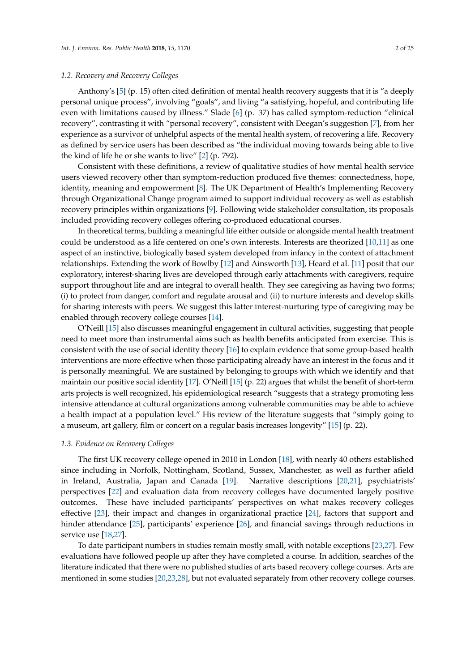### *1.2. Recovery and Recovery Colleges*

Anthony's [\[5\]](#page-21-4) (p. 15) often cited definition of mental health recovery suggests that it is "a deeply personal unique process", involving "goals", and living "a satisfying, hopeful, and contributing life even with limitations caused by illness." Slade [\[6\]](#page-22-0) (p. 37) has called symptom-reduction "clinical recovery", contrasting it with "personal recovery", consistent with Deegan's suggestion [\[7\]](#page-22-1), from her experience as a survivor of unhelpful aspects of the mental health system, of recovering a life. Recovery as defined by service users has been described as "the individual moving towards being able to live the kind of life he or she wants to live" [\[2\]](#page-21-1) (p. 792).

Consistent with these definitions, a review of qualitative studies of how mental health service users viewed recovery other than symptom-reduction produced five themes: connectedness, hope, identity, meaning and empowerment [\[8\]](#page-22-2). The UK Department of Health's Implementing Recovery through Organizational Change program aimed to support individual recovery as well as establish recovery principles within organizations [\[9\]](#page-22-3). Following wide stakeholder consultation, its proposals included providing recovery colleges offering co-produced educational courses.

In theoretical terms, building a meaningful life either outside or alongside mental health treatment could be understood as a life centered on one's own interests. Interests are theorized [\[10](#page-22-4)[,11\]](#page-22-5) as one aspect of an instinctive, biologically based system developed from infancy in the context of attachment relationships. Extending the work of Bowlby [\[12\]](#page-22-6) and Ainsworth [\[13\]](#page-22-7), Heard et al. [\[11\]](#page-22-5) posit that our exploratory, interest-sharing lives are developed through early attachments with caregivers, require support throughout life and are integral to overall health. They see caregiving as having two forms; (i) to protect from danger, comfort and regulate arousal and (ii) to nurture interests and develop skills for sharing interests with peers. We suggest this latter interest-nurturing type of caregiving may be enabled through recovery college courses [\[14\]](#page-22-8).

O'Neill [\[15\]](#page-22-9) also discusses meaningful engagement in cultural activities, suggesting that people need to meet more than instrumental aims such as health benefits anticipated from exercise. This is consistent with the use of social identity theory [\[16\]](#page-22-10) to explain evidence that some group-based health interventions are more effective when those participating already have an interest in the focus and it is personally meaningful. We are sustained by belonging to groups with which we identify and that maintain our positive social identity [\[17\]](#page-22-11). O'Neill [\[15\]](#page-22-9) (p. 22) argues that whilst the benefit of short-term arts projects is well recognized, his epidemiological research "suggests that a strategy promoting less intensive attendance at cultural organizations among vulnerable communities may be able to achieve a health impact at a population level." His review of the literature suggests that "simply going to a museum, art gallery, film or concert on a regular basis increases longevity" [\[15\]](#page-22-9) (p. 22).

### *1.3. Evidence on Recovery Colleges*

The first UK recovery college opened in 2010 in London [\[18\]](#page-22-12), with nearly 40 others established since including in Norfolk, Nottingham, Scotland, Sussex, Manchester, as well as further afield in Ireland, Australia, Japan and Canada [\[19\]](#page-22-13). Narrative descriptions [\[20](#page-22-14)[,21\]](#page-22-15), psychiatrists' perspectives [\[22\]](#page-22-16) and evaluation data from recovery colleges have documented largely positive outcomes. These have included participants' perspectives on what makes recovery colleges effective [\[23\]](#page-22-17), their impact and changes in organizational practice [\[24\]](#page-22-18), factors that support and hinder attendance [\[25\]](#page-22-19), participants' experience [\[26\]](#page-22-20), and financial savings through reductions in service use [\[18](#page-22-12)[,27\]](#page-22-21).

To date participant numbers in studies remain mostly small, with notable exceptions [\[23,](#page-22-17)[27\]](#page-22-21). Few evaluations have followed people up after they have completed a course. In addition, searches of the literature indicated that there were no published studies of arts based recovery college courses. Arts are mentioned in some studies [\[20,](#page-22-14)[23,](#page-22-17)[28\]](#page-22-22), but not evaluated separately from other recovery college courses.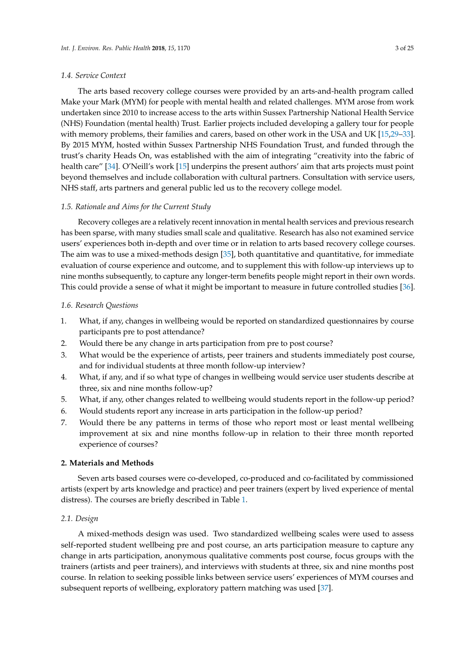### *1.4. Service Context*

The arts based recovery college courses were provided by an arts-and-health program called Make your Mark (MYM) for people with mental health and related challenges. MYM arose from work undertaken since 2010 to increase access to the arts within Sussex Partnership National Health Service (NHS) Foundation (mental health) Trust. Earlier projects included developing a gallery tour for people with memory problems, their families and carers, based on other work in the USA and UK [\[15](#page-22-9)[,29–](#page-22-23)[33\]](#page-23-0). By 2015 MYM, hosted within Sussex Partnership NHS Foundation Trust, and funded through the trust's charity Heads On, was established with the aim of integrating "creativity into the fabric of health care" [\[34\]](#page-23-1). O'Neill's work [\[15\]](#page-22-9) underpins the present authors' aim that arts projects must point beyond themselves and include collaboration with cultural partners. Consultation with service users, NHS staff, arts partners and general public led us to the recovery college model.

### *1.5. Rationale and Aims for the Current Study*

Recovery colleges are a relatively recent innovation in mental health services and previous research has been sparse, with many studies small scale and qualitative. Research has also not examined service users' experiences both in-depth and over time or in relation to arts based recovery college courses. The aim was to use a mixed-methods design [\[35\]](#page-23-2), both quantitative and quantitative, for immediate evaluation of course experience and outcome, and to supplement this with follow-up interviews up to nine months subsequently, to capture any longer-term benefits people might report in their own words. This could provide a sense of what it might be important to measure in future controlled studies [\[36\]](#page-23-3).

#### *1.6. Research Questions*

- 1. What, if any, changes in wellbeing would be reported on standardized questionnaires by course participants pre to post attendance?
- 2. Would there be any change in arts participation from pre to post course?
- 3. What would be the experience of artists, peer trainers and students immediately post course, and for individual students at three month follow-up interview?
- 4. What, if any, and if so what type of changes in wellbeing would service user students describe at three, six and nine months follow-up?
- 5. What, if any, other changes related to wellbeing would students report in the follow-up period?
- 6. Would students report any increase in arts participation in the follow-up period?
- 7. Would there be any patterns in terms of those who report most or least mental wellbeing improvement at six and nine months follow-up in relation to their three month reported experience of courses?

#### **2. Materials and Methods**

Seven arts based courses were co-developed, co-produced and co-facilitated by commissioned artists (expert by arts knowledge and practice) and peer trainers (expert by lived experience of mental distress). The courses are briefly described in Table [1.](#page-3-0)

### *2.1. Design*

A mixed-methods design was used. Two standardized wellbeing scales were used to assess self-reported student wellbeing pre and post course, an arts participation measure to capture any change in arts participation, anonymous qualitative comments post course, focus groups with the trainers (artists and peer trainers), and interviews with students at three, six and nine months post course. In relation to seeking possible links between service users' experiences of MYM courses and subsequent reports of wellbeing, exploratory pattern matching was used [\[37\]](#page-23-4).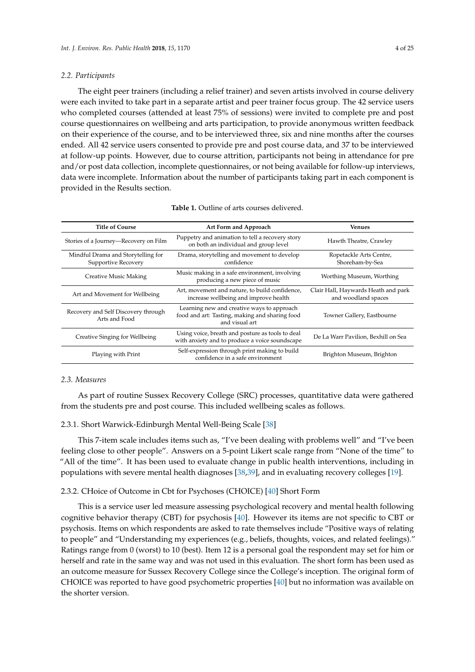### *2.2. Participants*

The eight peer trainers (including a relief trainer) and seven artists involved in course delivery were each invited to take part in a separate artist and peer trainer focus group. The 42 service users who completed courses (attended at least 75% of sessions) were invited to complete pre and post course questionnaires on wellbeing and arts participation, to provide anonymous written feedback on their experience of the course, and to be interviewed three, six and nine months after the courses ended. All 42 service users consented to provide pre and post course data, and 37 to be interviewed at follow-up points. However, due to course attrition, participants not being in attendance for pre and/or post data collection, incomplete questionnaires, or not being available for follow-up interviews, data were incomplete. Information about the number of participants taking part in each component is provided in the Results section.

<span id="page-3-0"></span>

| <b>Title of Course</b>                                    | Art Form and Approach                                                                                          | <b>Venues</b>                                              |
|-----------------------------------------------------------|----------------------------------------------------------------------------------------------------------------|------------------------------------------------------------|
| Stories of a Journey-Recovery on Film                     | Puppetry and animation to tell a recovery story<br>on both an individual and group level                       | Hawth Theatre, Crawley                                     |
| Mindful Drama and Storytelling for<br>Supportive Recovery | Drama, storytelling and movement to develop<br>confidence                                                      | Ropetackle Arts Centre,<br>Shoreham-by-Sea                 |
| <b>Creative Music Making</b>                              | Music making in a safe environment, involving<br>producing a new piece of music                                | Worthing Museum, Worthing                                  |
| Art and Movement for Wellbeing                            | Art, movement and nature, to build confidence,<br>increase wellbeing and improve health                        | Clair Hall, Haywards Heath and park<br>and woodland spaces |
| Recovery and Self Discovery through<br>Arts and Food      | Learning new and creative ways to approach<br>food and art: Tasting, making and sharing food<br>and visual art | Towner Gallery, Eastbourne                                 |
| Creative Singing for Wellbeing                            | Using voice, breath and posture as tools to deal<br>with anxiety and to produce a voice soundscape             | De La Warr Pavilion, Bexhill on Sea                        |
| Playing with Print                                        | Self-expression through print making to build<br>confidence in a safe environment                              | Brighton Museum, Brighton                                  |

| <b>Table 1.</b> Outline of arts courses delivered. |
|----------------------------------------------------|
|                                                    |

# *2.3. Measures*

As part of routine Sussex Recovery College (SRC) processes, quantitative data were gathered from the students pre and post course. This included wellbeing scales as follows.

# 2.3.1. Short Warwick-Edinburgh Mental Well-Being Scale [\[38\]](#page-23-5)

This 7-item scale includes items such as, "I've been dealing with problems well" and "I've been feeling close to other people". Answers on a 5-point Likert scale range from "None of the time" to "All of the time". It has been used to evaluate change in public health interventions, including in populations with severe mental health diagnoses [\[38,](#page-23-5)[39\]](#page-23-6), and in evaluating recovery colleges [\[19\]](#page-22-13).

### 2.3.2. CHoice of Outcome in Cbt for Psychoses (CHOICE) [\[40\]](#page-23-7) Short Form

This is a service user led measure assessing psychological recovery and mental health following cognitive behavior therapy (CBT) for psychosis [\[40\]](#page-23-7). However its items are not specific to CBT or psychosis. Items on which respondents are asked to rate themselves include "Positive ways of relating to people" and "Understanding my experiences (e.g., beliefs, thoughts, voices, and related feelings)." Ratings range from 0 (worst) to 10 (best). Item 12 is a personal goal the respondent may set for him or herself and rate in the same way and was not used in this evaluation. The short form has been used as an outcome measure for Sussex Recovery College since the College's inception. The original form of CHOICE was reported to have good psychometric properties [\[40\]](#page-23-7) but no information was available on the shorter version.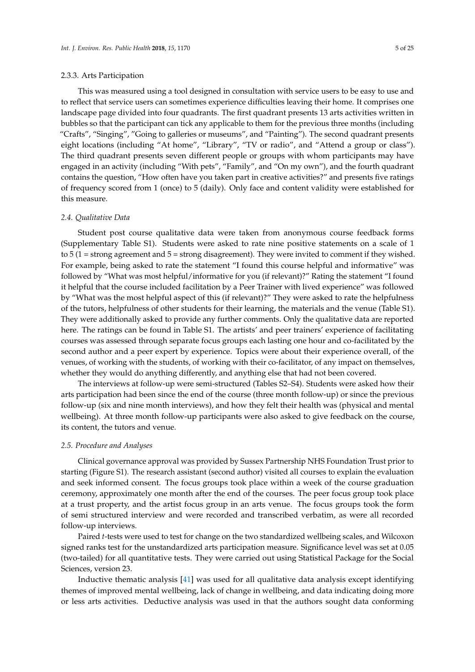This was measured using a tool designed in consultation with service users to be easy to use and to reflect that service users can sometimes experience difficulties leaving their home. It comprises one landscape page divided into four quadrants. The first quadrant presents 13 arts activities written in bubbles so that the participant can tick any applicable to them for the previous three months (including "Crafts", "Singing", "Going to galleries or museums", and "Painting"). The second quadrant presents eight locations (including "At home", "Library", "TV or radio", and "Attend a group or class"). The third quadrant presents seven different people or groups with whom participants may have engaged in an activity (including "With pets", "Family", and "On my own"), and the fourth quadrant contains the question, "How often have you taken part in creative activities?" and presents five ratings of frequency scored from 1 (once) to 5 (daily). Only face and content validity were established for this measure.

### *2.4. Qualitative Data*

Student post course qualitative data were taken from anonymous course feedback forms (Supplementary Table S1). Students were asked to rate nine positive statements on a scale of 1 to  $5$  (1 = strong agreement and  $5$  = strong disagreement). They were invited to comment if they wished. For example, being asked to rate the statement "I found this course helpful and informative" was followed by "What was most helpful/informative for you (if relevant)?" Rating the statement "I found it helpful that the course included facilitation by a Peer Trainer with lived experience" was followed by "What was the most helpful aspect of this (if relevant)?" They were asked to rate the helpfulness of the tutors, helpfulness of other students for their learning, the materials and the venue (Table S1). They were additionally asked to provide any further comments. Only the qualitative data are reported here. The ratings can be found in Table S1. The artists' and peer trainers' experience of facilitating courses was assessed through separate focus groups each lasting one hour and co-facilitated by the second author and a peer expert by experience. Topics were about their experience overall, of the venues, of working with the students, of working with their co-facilitator, of any impact on themselves, whether they would do anything differently, and anything else that had not been covered.

The interviews at follow-up were semi-structured (Tables S2–S4). Students were asked how their arts participation had been since the end of the course (three month follow-up) or since the previous follow-up (six and nine month interviews), and how they felt their health was (physical and mental wellbeing). At three month follow-up participants were also asked to give feedback on the course, its content, the tutors and venue.

#### <span id="page-4-0"></span>*2.5. Procedure and Analyses*

Clinical governance approval was provided by Sussex Partnership NHS Foundation Trust prior to starting (Figure S1). The research assistant (second author) visited all courses to explain the evaluation and seek informed consent. The focus groups took place within a week of the course graduation ceremony, approximately one month after the end of the courses. The peer focus group took place at a trust property, and the artist focus group in an arts venue. The focus groups took the form of semi structured interview and were recorded and transcribed verbatim, as were all recorded follow-up interviews.

Paired *t*-tests were used to test for change on the two standardized wellbeing scales, and Wilcoxon signed ranks test for the unstandardized arts participation measure. Significance level was set at 0.05 (two-tailed) for all quantitative tests. They were carried out using Statistical Package for the Social Sciences, version 23.

Inductive thematic analysis [\[41\]](#page-23-8) was used for all qualitative data analysis except identifying themes of improved mental wellbeing, lack of change in wellbeing, and data indicating doing more or less arts activities. Deductive analysis was used in that the authors sought data conforming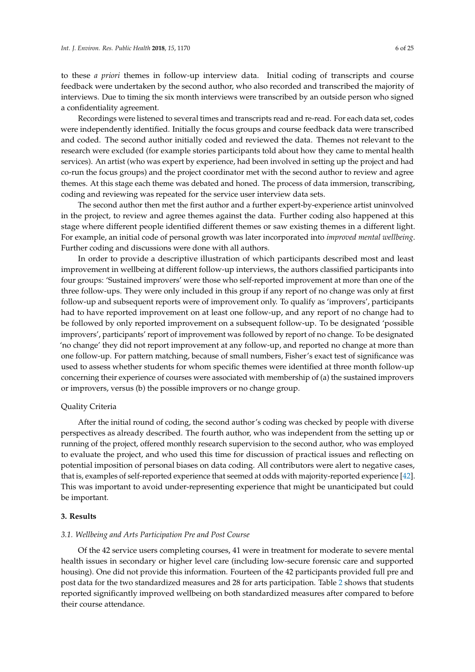to these *a priori* themes in follow-up interview data. Initial coding of transcripts and course feedback were undertaken by the second author, who also recorded and transcribed the majority of interviews. Due to timing the six month interviews were transcribed by an outside person who signed a confidentiality agreement.

Recordings were listened to several times and transcripts read and re-read. For each data set, codes were independently identified. Initially the focus groups and course feedback data were transcribed and coded. The second author initially coded and reviewed the data. Themes not relevant to the research were excluded (for example stories participants told about how they came to mental health services). An artist (who was expert by experience, had been involved in setting up the project and had co-run the focus groups) and the project coordinator met with the second author to review and agree themes. At this stage each theme was debated and honed. The process of data immersion, transcribing, coding and reviewing was repeated for the service user interview data sets.

The second author then met the first author and a further expert-by-experience artist uninvolved in the project, to review and agree themes against the data. Further coding also happened at this stage where different people identified different themes or saw existing themes in a different light. For example, an initial code of personal growth was later incorporated into *improved mental wellbeing*. Further coding and discussions were done with all authors.

In order to provide a descriptive illustration of which participants described most and least improvement in wellbeing at different follow-up interviews, the authors classified participants into four groups: 'Sustained improvers' were those who self-reported improvement at more than one of the three follow-ups. They were only included in this group if any report of no change was only at first follow-up and subsequent reports were of improvement only. To qualify as 'improvers', participants had to have reported improvement on at least one follow-up, and any report of no change had to be followed by only reported improvement on a subsequent follow-up. To be designated 'possible improvers', participants' report of improvement was followed by report of no change. To be designated 'no change' they did not report improvement at any follow-up, and reported no change at more than one follow-up. For pattern matching, because of small numbers, Fisher's exact test of significance was used to assess whether students for whom specific themes were identified at three month follow-up concerning their experience of courses were associated with membership of (a) the sustained improvers or improvers, versus (b) the possible improvers or no change group.

### Quality Criteria

After the initial round of coding, the second author's coding was checked by people with diverse perspectives as already described. The fourth author, who was independent from the setting up or running of the project, offered monthly research supervision to the second author, who was employed to evaluate the project, and who used this time for discussion of practical issues and reflecting on potential imposition of personal biases on data coding. All contributors were alert to negative cases, that is, examples of self-reported experience that seemed at odds with majority-reported experience [\[42\]](#page-23-9). This was important to avoid under-representing experience that might be unanticipated but could be important.

#### **3. Results**

### *3.1. Wellbeing and Arts Participation Pre and Post Course*

Of the 42 service users completing courses, 41 were in treatment for moderate to severe mental health issues in secondary or higher level care (including low-secure forensic care and supported housing). One did not provide this information. Fourteen of the 42 participants provided full pre and post data for the two standardized measures and 28 for arts participation. Table [2](#page-6-0) shows that students reported significantly improved wellbeing on both standardized measures after compared to before their course attendance.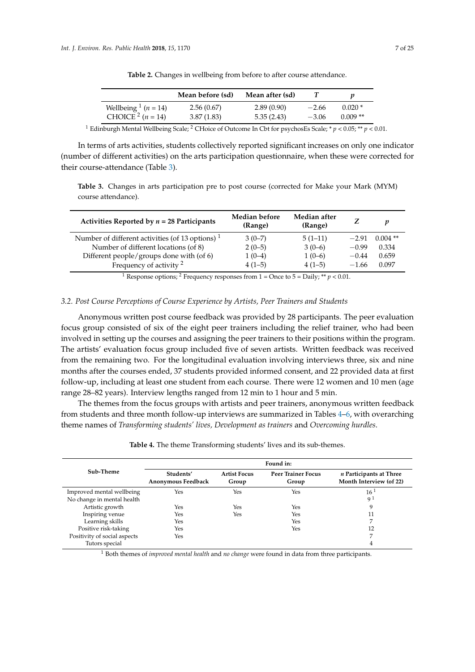<span id="page-6-0"></span>

|                                          | Mean before (sd) | Mean after (sd) |         |           |
|------------------------------------------|------------------|-----------------|---------|-----------|
| Wellbeing $\frac{1}{n}$ ( <i>n</i> = 14) | 2.56(0.67)       | 2.89(0.90)      | $-2.66$ | $0.020*$  |
| CHOICE <sup>2</sup> $(n = 14)$           | 3.87(1.83)       | 5.35(2.43)      | $-3.06$ | $0.009**$ |

**Table 2.** Changes in wellbeing from before to after course attendance.

<sup>1</sup> Edinburgh Mental Wellbeing Scale; <sup>2</sup> CHoice of Outcome In Cbt for psychosEs Scale; \*  $p < 0.05$ ; \*\*  $p < 0.01$ .

In terms of arts activities, students collectively reported significant increases on only one indicator (number of different activities) on the arts participation questionnaire, when these were corrected for their course-attendance (Table [3\)](#page-6-1).

<span id="page-6-1"></span>**Table 3.** Changes in arts participation pre to post course (corrected for Make your Mark (MYM) course attendance).

| Activities Reported by $n = 28$ Participants       | Median before<br>(Range) | Median after<br>(Range) |         |            |
|----------------------------------------------------|--------------------------|-------------------------|---------|------------|
| Number of different activities (of 13 options) $1$ | $3(0-7)$                 | $5(1-11)$               | $-2.91$ | $0.004$ ** |
| Number of different locations (of 8)               | $2(0-5)$                 | $3(0-6)$                | $-0.99$ | 0.334      |
| Different people/groups done with (of 6)           | $1(0-4)$                 | $1(0-6)$                | $-0.44$ | 0.659      |
| Frequency of activity $2$                          | $4(1-5)$                 | $4(1-5)$                | $-1.66$ | 0.097      |
|                                                    |                          |                         |         |            |

<sup>1</sup> Response options; <sup>2</sup> Frequency responses from 1 = Once to 5 = Daily; \*\*  $p < 0.01$ .

### *3.2. Post Course Perceptions of Course Experience by Artists, Peer Trainers and Students*

Anonymous written post course feedback was provided by 28 participants. The peer evaluation focus group consisted of six of the eight peer trainers including the relief trainer, who had been involved in setting up the courses and assigning the peer trainers to their positions within the program. The artists' evaluation focus group included five of seven artists. Written feedback was received from the remaining two. For the longitudinal evaluation involving interviews three, six and nine months after the courses ended, 37 students provided informed consent, and 22 provided data at first follow-up, including at least one student from each course. There were 12 women and 10 men (age range 28–82 years). Interview lengths ranged from 12 min to 1 hour and 5 min.

The themes from the focus groups with artists and peer trainers, anonymous written feedback from students and three month follow-up interviews are summarized in Tables [4–](#page-6-2)[6,](#page-7-0) with overarching theme names of *Transforming students' lives, Development as trainers* and *Overcoming hurdles*.

<span id="page-6-2"></span>

|                              | Found in:                       |                              |                                    |                                                           |  |  |
|------------------------------|---------------------------------|------------------------------|------------------------------------|-----------------------------------------------------------|--|--|
| Sub-Theme                    | Students'<br>Anonymous Feedback | <b>Artist Focus</b><br>Group | <b>Peer Trainer Focus</b><br>Group | <i>n</i> Participants at Three<br>Month Interview (of 22) |  |  |
| Improved mental wellbeing    | Yes                             | Yes                          | Yes                                | 16 <sup>1</sup>                                           |  |  |
| No change in mental health   |                                 |                              |                                    | 91                                                        |  |  |
| Artistic growth              | Yes                             | Yes                          | Yes                                | 9                                                         |  |  |
| Inspiring venue              | Yes                             | Yes                          | Yes                                | 11                                                        |  |  |
| Learning skills              | Yes                             |                              | Yes                                | ⇁                                                         |  |  |
| Positive risk-taking         | Yes                             |                              | Yes                                | 12                                                        |  |  |
| Positivity of social aspects | Yes                             |                              |                                    | ⇁                                                         |  |  |
| Tutors special               |                                 |                              |                                    | 4                                                         |  |  |

**Table 4.** The theme Transforming students' lives and its sub-themes.

<sup>1</sup> Both themes of *improved mental health* and *no change* were found in data from three participants.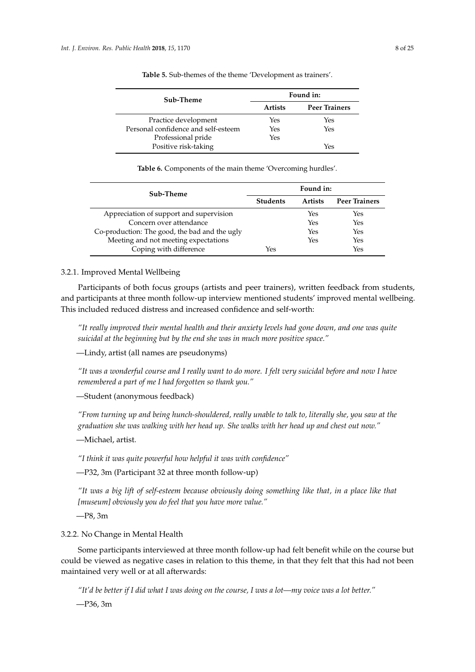<span id="page-7-1"></span>

| Sub-Theme                           | Found in:      |                      |
|-------------------------------------|----------------|----------------------|
|                                     | <b>Artists</b> | <b>Peer Trainers</b> |
| Practice development                | Yes            | Yes                  |
| Personal confidence and self-esteem | Yes            | Yes                  |
| Professional pride                  | Yes            |                      |
| Positive risk-taking                |                | Yes                  |

**Table 5.** Sub-themes of the theme 'Development as trainers'.

**Table 6.** Components of the main theme 'Overcoming hurdles'.

<span id="page-7-0"></span>

| Sub-Theme                                     |                 | Found in:      |                      |
|-----------------------------------------------|-----------------|----------------|----------------------|
|                                               | <b>Students</b> | <b>Artists</b> | <b>Peer Trainers</b> |
| Appreciation of support and supervision       |                 | Yes            | Yes                  |
| Concern over attendance                       |                 | Yes            | Yes                  |
| Co-production: The good, the bad and the ugly |                 | Yes            | Yes                  |
| Meeting and not meeting expectations          |                 | Yes            | Yes                  |
| Coping with difference                        | Yes             |                | Yes                  |

# 3.2.1. Improved Mental Wellbeing

Participants of both focus groups (artists and peer trainers), written feedback from students, and participants at three month follow-up interview mentioned students' improved mental wellbeing. This included reduced distress and increased confidence and self-worth:

*"It really improved their mental health and their anxiety levels had gone down, and one was quite suicidal at the beginning but by the end she was in much more positive space."*

—Lindy, artist (all names are pseudonyms)

*"It was a wonderful course and I really want to do more. I felt very suicidal before and now I have remembered a part of me I had forgotten so thank you."*

—Student (anonymous feedback)

*"From turning up and being hunch-shouldered, really unable to talk to, literally she, you saw at the graduation she was walking with her head up. She walks with her head up and chest out now."*

—Michael, artist.

*"I think it was quite powerful how helpful it was with confidence"*

—P32, 3m (Participant 32 at three month follow-up)

*"It was a big lift of self-esteem because obviously doing something like that, in a place like that [museum] obviously you do feel that you have more value."*

—P8, 3m

### 3.2.2. No Change in Mental Health

Some participants interviewed at three month follow-up had felt benefit while on the course but could be viewed as negative cases in relation to this theme, in that they felt that this had not been maintained very well or at all afterwards:

*"It'd be better if I did what I was doing on the course, I was a lot—my voice was a lot better."* —P36, 3m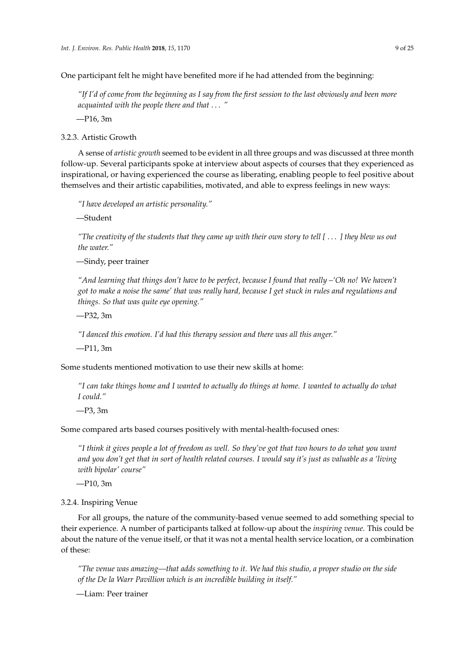One participant felt he might have benefited more if he had attended from the beginning:

*"If I'd of come from the beginning as I say from the first session to the last obviously and been more acquainted with the people there and that* . . . *"*

—P16, 3m

<span id="page-8-0"></span>3.2.3. Artistic Growth

A sense of *artistic growth* seemed to be evident in all three groups and was discussed at three month follow-up. Several participants spoke at interview about aspects of courses that they experienced as inspirational, or having experienced the course as liberating, enabling people to feel positive about themselves and their artistic capabilities, motivated, and able to express feelings in new ways:

*"I have developed an artistic personality."*

—Student

*"The creativity of the students that they came up with their own story to tell [* . . . *] they blew us out the water."*

—Sindy, peer trainer

*"And learning that things don't have to be perfect, because I found that really –'Oh no! We haven't got to make a noise the same' that was really hard, because I get stuck in rules and regulations and things. So that was quite eye opening."*

—P32, 3m

*"I danced this emotion. I'd had this therapy session and there was all this anger."*

—P11, 3m

Some students mentioned motivation to use their new skills at home:

*"I can take things home and I wanted to actually do things at home. I wanted to actually do what I could."*

—P3, 3m

Some compared arts based courses positively with mental-health-focused ones:

*"I think it gives people a lot of freedom as well. So they've got that two hours to do what you want and you don't get that in sort of health related courses. I would say it's just as valuable as a 'living with bipolar' course"*

—P10, 3m

3.2.4. Inspiring Venue

For all groups, the nature of the community-based venue seemed to add something special to their experience. A number of participants talked at follow-up about the *inspiring venue*. This could be about the nature of the venue itself, or that it was not a mental health service location, or a combination of these:

*"The venue was amazing—that adds something to it. We had this studio, a proper studio on the side of the De la Warr Pavillion which is an incredible building in itself."*

—Liam: Peer trainer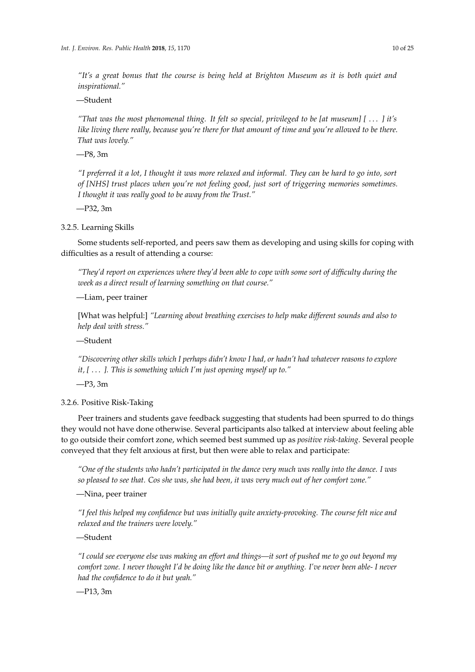*"It's a great bonus that the course is being held at Brighton Museum as it is both quiet and inspirational."*

—Student

*"That was the most phenomenal thing. It felt so special, privileged to be [at museum] [* . . . *] it's like living there really, because you're there for that amount of time and you're allowed to be there. That was lovely."*

—P8, 3m

*"I preferred it a lot, I thought it was more relaxed and informal. They can be hard to go into, sort of [NHS] trust places when you're not feeling good, just sort of triggering memories sometimes. I thought it was really good to be away from the Trust."*

—P32, 3m

3.2.5. Learning Skills

Some students self-reported, and peers saw them as developing and using skills for coping with difficulties as a result of attending a course:

*"They'd report on experiences where they'd been able to cope with some sort of difficulty during the week as a direct result of learning something on that course."*

—Liam, peer trainer

[What was helpful:] *"Learning about breathing exercises to help make different sounds and also to help deal with stress."*

—Student

*"Discovering other skills which I perhaps didn't know I had, or hadn't had whatever reasons to explore it, [* . . . *]. This is something which I'm just opening myself up to."*

—P3, 3m

<span id="page-9-0"></span>3.2.6. Positive Risk-Taking

Peer trainers and students gave feedback suggesting that students had been spurred to do things they would not have done otherwise. Several participants also talked at interview about feeling able to go outside their comfort zone, which seemed best summed up as *positive risk-taking*. Several people conveyed that they felt anxious at first, but then were able to relax and participate:

*"One of the students who hadn't participated in the dance very much was really into the dance. I was so pleased to see that. Cos she was, she had been, it was very much out of her comfort zone."*

—Nina, peer trainer

*"I feel this helped my confidence but was initially quite anxiety-provoking. The course felt nice and relaxed and the trainers were lovely."*

—Student

*"I could see everyone else was making an effort and things—it sort of pushed me to go out beyond my comfort zone. I never thought I'd be doing like the dance bit or anything. I've never been able- I never had the confidence to do it but yeah."*

—P13, 3m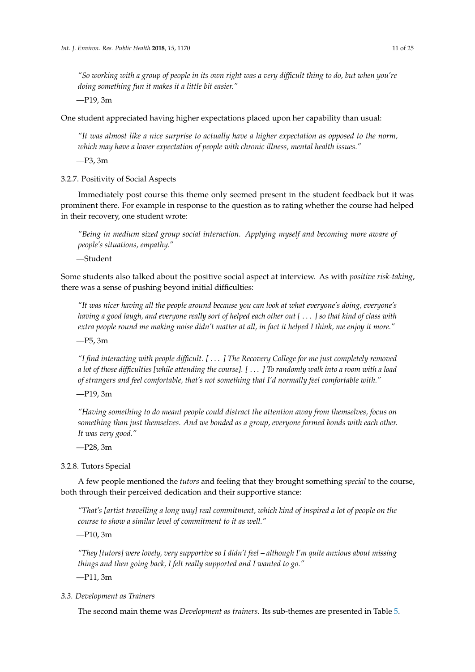*"So working with a group of people in its own right was a very difficult thing to do, but when you're doing something fun it makes it a little bit easier."*

—P19, 3m

One student appreciated having higher expectations placed upon her capability than usual:

*"It was almost like a nice surprise to actually have a higher expectation as opposed to the norm, which may have a lower expectation of people with chronic illness, mental health issues."*

—P3, 3m

3.2.7. Positivity of Social Aspects

Immediately post course this theme only seemed present in the student feedback but it was prominent there. For example in response to the question as to rating whether the course had helped in their recovery, one student wrote:

*"Being in medium sized group social interaction. Applying myself and becoming more aware of people's situations, empathy."*

—Student

Some students also talked about the positive social aspect at interview. As with *positive risk-taking*, there was a sense of pushing beyond initial difficulties:

*"It was nicer having all the people around because you can look at what everyone's doing, everyone's having a good laugh, and everyone really sort of helped each other out [* . . . *] so that kind of class with extra people round me making noise didn't matter at all, in fact it helped I think, me enjoy it more."*

—P5, 3m

*"I find interacting with people difficult. [* . . . *] The Recovery College for me just completely removed a lot of those difficulties [while attending the course]. [* . . . *] To randomly walk into a room with a load of strangers and feel comfortable, that's not something that I'd normally feel comfortable with."*

—P19, 3m

*"Having something to do meant people could distract the attention away from themselves, focus on something than just themselves. And we bonded as a group, everyone formed bonds with each other. It was very good."*

—P28, 3m

3.2.8. Tutors Special

A few people mentioned the *tutors* and feeling that they brought something *special* to the course, both through their perceived dedication and their supportive stance:

*"That's [artist travelling a long way] real commitment, which kind of inspired a lot of people on the course to show a similar level of commitment to it as well."*

—P10, 3m

*"They [tutors] were lovely, very supportive so I didn't feel – although I'm quite anxious about missing things and then going back, I felt really supported and I wanted to go."*

—P11, 3m

# *3.3. Development as Trainers*

The second main theme was *Development as trainers*. Its sub-themes are presented in Table [5.](#page-7-1)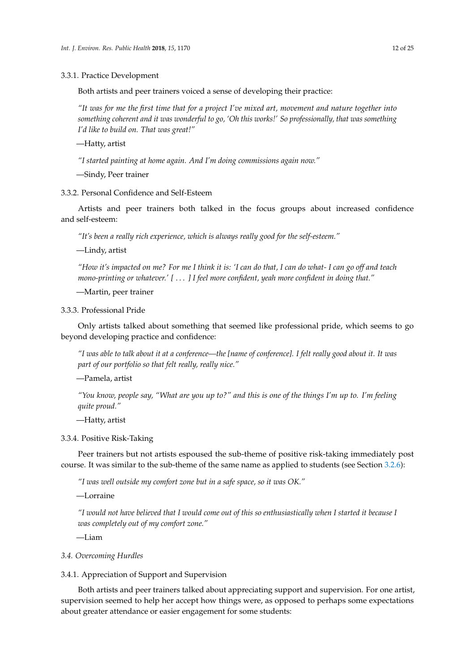3.3.1. Practice Development

Both artists and peer trainers voiced a sense of developing their practice:

*"It was for me the first time that for a project I've mixed art, movement and nature together into something coherent and it was wonderful to go, 'Oh this works!' So professionally, that was something I'd like to build on. That was great!"*

—Hatty, artist

*"I started painting at home again. And I'm doing commissions again now."*

—Sindy, Peer trainer

3.3.2. Personal Confidence and Self-Esteem

Artists and peer trainers both talked in the focus groups about increased confidence and self-esteem:

*"It's been a really rich experience, which is always really good for the self-esteem."*

—Lindy, artist

*"How it's impacted on me? For me I think it is: 'I can do that, I can do what- I can go off and teach mono-printing or whatever.' [* . . . *] I feel more confident, yeah more confident in doing that."*

—Martin, peer trainer

# 3.3.3. Professional Pride

Only artists talked about something that seemed like professional pride, which seems to go beyond developing practice and confidence:

*"I was able to talk about it at a conference—the [name of conference]. I felt really good about it. It was part of our portfolio so that felt really, really nice."*

—Pamela, artist

*"You know, people say, "What are you up to?" and this is one of the things I'm up to. I'm feeling quite proud."*

—Hatty, artist

### 3.3.4. Positive Risk-Taking

Peer trainers but not artists espoused the sub-theme of positive risk-taking immediately post course. It was similar to the sub-theme of the same name as applied to students (see Section [3.2.6\)](#page-9-0):

*"I was well outside my comfort zone but in a safe space, so it was OK."*

—Lorraine

*"I would not have believed that I would come out of this so enthusiastically when I started it because I was completely out of my comfort zone."*

—Liam

# *3.4. Overcoming Hurdles*

### 3.4.1. Appreciation of Support and Supervision

Both artists and peer trainers talked about appreciating support and supervision. For one artist, supervision seemed to help her accept how things were, as opposed to perhaps some expectations about greater attendance or easier engagement for some students: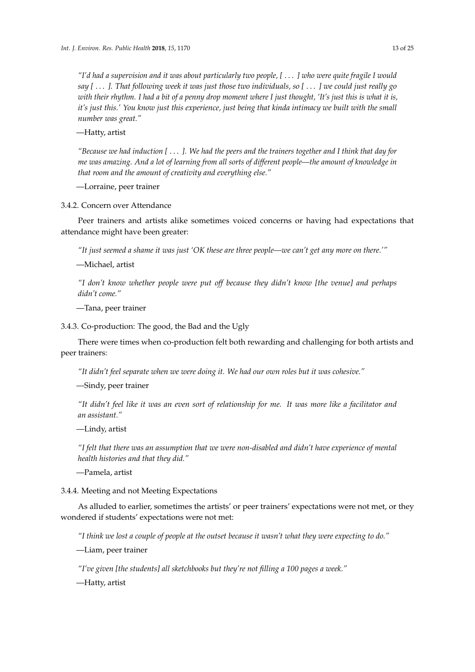*"I'd had a supervision and it was about particularly two people, [* . . . *] who were quite fragile I would say [* . . . *]. That following week it was just those two individuals, so [* . . . *] we could just really go with their rhythm. I had a bit of a penny drop moment where I just thought, 'It's just this is what it is, it's just this.' You know just this experience, just being that kinda intimacy we built with the small number was great."*

—Hatty, artist

*"Because we had induction [* . . . *]. We had the peers and the trainers together and I think that day for me was amazing. And a lot of learning from all sorts of different people—the amount of knowledge in that room and the amount of creativity and everything else."*

—Lorraine, peer trainer

3.4.2. Concern over Attendance

Peer trainers and artists alike sometimes voiced concerns or having had expectations that attendance might have been greater:

*"It just seemed a shame it was just 'OK these are three people—we can't get any more on there.'"*

—Michael, artist

*"I don't know whether people were put off because they didn't know [the venue] and perhaps didn't come."*

—Tana, peer trainer

3.4.3. Co-production: The good, the Bad and the Ugly

There were times when co-production felt both rewarding and challenging for both artists and peer trainers:

*"It didn't feel separate when we were doing it. We had our own roles but it was cohesive."*

—Sindy, peer trainer

*"It didn't feel like it was an even sort of relationship for me. It was more like a facilitator and an assistant."*

—Lindy, artist

*"I felt that there was an assumption that we were non-disabled and didn't have experience of mental health histories and that they did."*

—Pamela, artist

3.4.4. Meeting and not Meeting Expectations

As alluded to earlier, sometimes the artists' or peer trainers' expectations were not met, or they wondered if students' expectations were not met:

*"I think we lost a couple of people at the outset because it wasn't what they were expecting to do."*

—Liam, peer trainer

*"I've given [the students] all sketchbooks but they're not filling a 100 pages a week."*

—Hatty, artist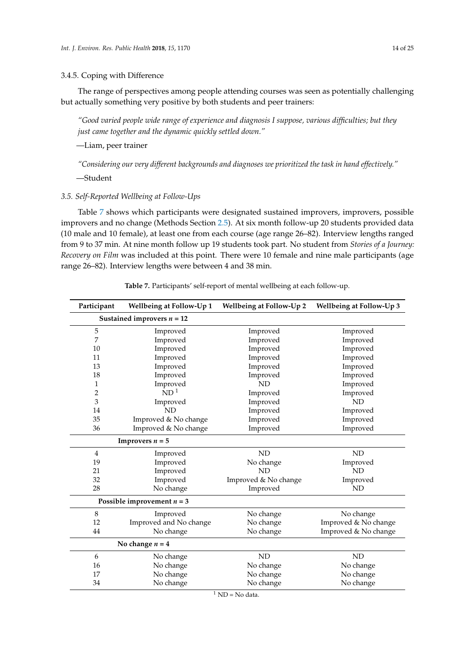### 3.4.5. Coping with Difference

The range of perspectives among people attending courses was seen as potentially challenging but actually something very positive by both students and peer trainers:

*"Good varied people wide range of experience and diagnosis I suppose, various difficulties; but they just came together and the dynamic quickly settled down."*

—Liam, peer trainer

*"Considering our very different backgrounds and diagnoses we prioritized the task in hand effectively."*

—Student

# *3.5. Self-Reported Wellbeing at Follow-Ups*

Table [7](#page-13-0) shows which participants were designated sustained improvers, improvers, possible improvers and no change (Methods Section [2.5\)](#page-4-0). At six month follow-up 20 students provided data (10 male and 10 female), at least one from each course (age range 26–82). Interview lengths ranged from 9 to 37 min. At nine month follow up 19 students took part. No student from *Stories of a Journey: Recovery on Film* was included at this point. There were 10 female and nine male participants (age range 26–82). Interview lengths were between 4 and 38 min.

<span id="page-13-0"></span>

| Participant    | Wellbeing at Follow-Up 1     | Wellbeing at Follow-Up 2 | <b>Wellbeing at Follow-Up 3</b> |
|----------------|------------------------------|--------------------------|---------------------------------|
|                | Sustained improvers $n = 12$ |                          |                                 |
| $\mathbf 5$    | Improved                     | Improved                 | Improved                        |
| 7              | Improved                     | Improved                 | Improved                        |
| 10             | Improved                     | Improved                 | Improved                        |
| 11             | Improved                     | Improved                 | Improved                        |
| 13             | Improved                     | Improved                 | Improved                        |
| 18             | Improved                     | Improved                 | Improved                        |
| 1              | Improved                     | ND                       | Improved                        |
| $\overline{c}$ | ND <sup>1</sup>              | Improved                 | Improved                        |
| 3              | Improved                     | Improved                 | <b>ND</b>                       |
| 14             | <b>ND</b>                    | Improved                 | Improved                        |
| 35             | Improved & No change         | Improved                 | Improved                        |
| 36             | Improved & No change         | Improved                 | Improved                        |
|                | <b>Improvers</b> $n = 5$     |                          |                                 |
| 4              | Improved                     | $\rm ND$                 | ND                              |
| 19             | Improved                     | No change                | Improved                        |
| 21             | Improved                     | <b>ND</b>                | <b>ND</b>                       |
| 32             | Improved                     | Improved & No change     | Improved                        |
| 28             | No change                    | Improved                 | <b>ND</b>                       |
|                | Possible improvement $n = 3$ |                          |                                 |
| $\,8\,$        | Improved                     | No change                | No change                       |
| 12             | Improved and No change       | No change                | Improved & No change            |
| 44             | No change                    | No change                | Improved & No change            |
|                | No change $n = 4$            |                          |                                 |
| 6              | No change                    | ND                       | <b>ND</b>                       |
| 16             | No change                    | No change                | No change                       |
| 17             | No change                    | No change                | No change                       |
| 34             | No change                    | No change                | No change                       |

**Table 7.** Participants' self-report of mental wellbeing at each follow-up.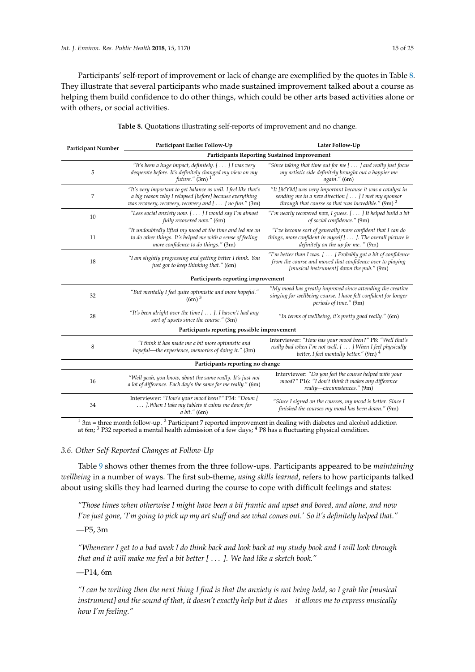Participants' self-report of improvement or lack of change are exemplified by the quotes in Table [8.](#page-14-0) They illustrate that several participants who made sustained improvement talked about a course as helping them build confidence to do other things, which could be other arts based activities alone or with others, or social activities.

<span id="page-14-0"></span>

| Participant Number               | Participant Earlier Follow-Up                                                                                                                                                       | Later Follow-Up                                                                                                                                                             |  |  |
|----------------------------------|-------------------------------------------------------------------------------------------------------------------------------------------------------------------------------------|-----------------------------------------------------------------------------------------------------------------------------------------------------------------------------|--|--|
|                                  |                                                                                                                                                                                     | <b>Participants Reporting Sustained Improvement</b>                                                                                                                         |  |  |
| 5                                | "It's been a huge impact, definitely. [  ] I was very<br>desperate before. It's definitely changed my view on my<br>future." $(3m)$ <sup>1</sup>                                    | "Since taking that time out for me [  ] and really just focus<br>my artistic side definitely brought out a happier me<br>again." (6m)                                       |  |  |
| 7                                | "It's very important to get balance as well. I feel like that's<br>a big reason why I relapsed [before] because everything<br>was recovery, recovery, recovery and [] no fun." (3m) | "It [MYM] was very important because it was a catalyst in<br>sending me in a new direction [] I met my sponsor<br>through that course so that was incredible." $(9m)^2$     |  |  |
| 10                               | "Less social anxiety now. [  ] I would say I'm almost<br>fully recovered now." (6m)                                                                                                 | "I'm nearly recovered now, I guess. [ ] It helped build a bit<br>of social confidence." (9m)                                                                                |  |  |
| 11                               | "It undoubtedly lifted my mood at the time and led me on<br>to do other things. It's helped me with a sense of feeling<br>more confidence to do things." (3m)                       | "I've become sort of generally more confident that I can do<br>things, more confident in myself $[ \dots ]$ . The overall picture is<br>definitely on the up for me. " (9m) |  |  |
| 18                               | "I am slightly progressing and getting better I think. You<br>just got to keep thinking that." (6m)                                                                                 | "I'm better than I was. [] Probably got a bit of confidence<br>from the course and moved that confidence over to playing<br>[musical instrument] down the pub." (9m)        |  |  |
|                                  | Participants reporting improvement                                                                                                                                                  |                                                                                                                                                                             |  |  |
| 32                               | "But mentally I feel quite optimistic and more hopeful."<br>$(6m)^3$                                                                                                                | "My mood has greatly improved since attending the creative<br>singing for wellbeing course. I have felt confident for longer<br>periods of time." (9m)                      |  |  |
| 28                               | "It's been alright over the time [  ]. I haven't had any<br>sort of upsets since the course." (3m)                                                                                  | "In terms of wellbeing, it's pretty good really." (6m)                                                                                                                      |  |  |
|                                  | Participants reporting possible improvement                                                                                                                                         |                                                                                                                                                                             |  |  |
| 8                                | "I think it has made me a bit more optimistic and<br>hopeful—the experience, memories of doing it." (3m)                                                                            | Interviewer: "How has your mood been?" P8: "Well that's<br>really bad when I'm not well. [  ] When I feel physically<br>better, I feel mentally better." $(9m)^4$           |  |  |
| Participants reporting no change |                                                                                                                                                                                     |                                                                                                                                                                             |  |  |
| 16                               | "Well yeah, you know, about the same really. It's just not<br>a lot of difference. Each day's the same for me really." (6m)                                                         | Interviewer: "Do you feel the course helped with your<br>mood?" P16: "I don't think it makes any difference<br>really-circumstances." (9m)                                  |  |  |
| 34                               | Interviewer: "How's your mood been?" P34: "Down [<br>]. When I take my tablets it calms me down for<br>a bit." (6m)                                                                 | "Since I signed on the courses, my mood is better. Since I<br>finished the courses my mood has been down." (9m)                                                             |  |  |

|  | Table 8. Quotations illustrating self-reports of improvement and no change. |  |  |  |
|--|-----------------------------------------------------------------------------|--|--|--|
|  |                                                                             |  |  |  |

 $1 \text{ 3m}$  = three month follow-up. <sup>2</sup> Participant 7 reported improvement in dealing with diabetes and alcohol addiction at 6m; <sup>3</sup> P32 reported a mental health admission of a few days; <sup>4</sup> P8 has a fluctuating physical condition.

# *3.6. Other Self-Reported Changes at Follow-Up*

Table [9](#page-15-0) shows other themes from the three follow-ups. Participants appeared to be *maintaining wellbeing* in a number of ways. The first sub-theme, *using skills learned*, refers to how participants talked about using skills they had learned during the course to cope with difficult feelings and states:

*"Those times when otherwise I might have been a bit frantic and upset and bored, and alone, and now I've just gone, 'I'm going to pick up my art stuff and see what comes out.' So it's definitely helped that."*

—P5, 3m

*"Whenever I get to a bad week I do think back and look back at my study book and I will look through that and it will make me feel a bit better [* . . . *]. We had like a sketch book."*

—P14, 6m

*"I can be writing then the next thing I find is that the anxiety is not being held, so I grab the [musical instrument] and the sound of that, it doesn't exactly help but it does—it allows me to express musically how I'm feeling."*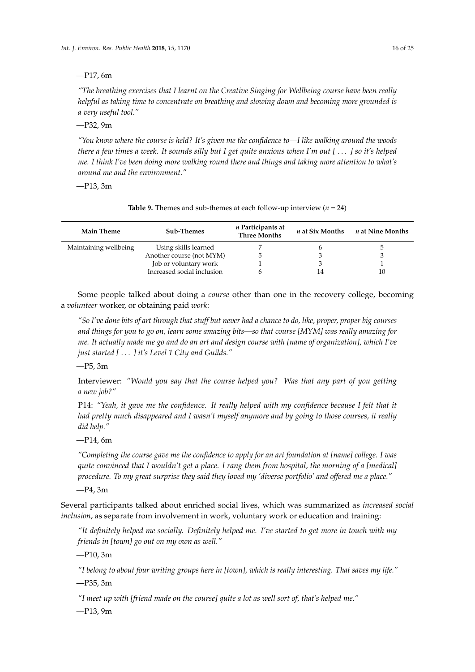### —P17, 6m

*"The breathing exercises that I learnt on the Creative Singing for Wellbeing course have been really helpful as taking time to concentrate on breathing and slowing down and becoming more grounded is a very useful tool."*

—P32, 9m

*"You know where the course is held? It's given me the confidence to—I like walking around the woods there a few times a week. It sounds silly but I get quite anxious when I'm out [* . . . *] so it's helped me. I think I've been doing more walking round there and things and taking more attention to what's around me and the environment."*

—P13, 3m

<span id="page-15-0"></span>

| <b>Main Theme</b>     | <b>Sub-Themes</b>          | <i>n</i> Participants at<br><b>Three Months</b> | n at Six Months | <i>n</i> at Nine Months |
|-----------------------|----------------------------|-------------------------------------------------|-----------------|-------------------------|
| Maintaining wellbeing | Using skills learned       |                                                 |                 |                         |
|                       | Another course (not MYM)   | b.                                              |                 |                         |
|                       | Job or voluntary work      |                                                 |                 |                         |
|                       | Increased social inclusion |                                                 |                 | 10                      |

**Table 9.** Themes and sub-themes at each follow-up interview  $(n = 24)$ 

Some people talked about doing a *course* other than one in the recovery college, becoming a *volunteer* worker, or obtaining paid *work*:

*"So I've done bits of art through that stuff but never had a chance to do, like, proper, proper big courses and things for you to go on, learn some amazing bits—so that course [MYM] was really amazing for me. It actually made me go and do an art and design course with [name of organization], which I've just started [* . . . *] it's Level 1 City and Guilds."*

—P5, 3m

Interviewer: *"Would you say that the course helped you? Was that any part of you getting a new job?"*

P14: *"Yeah, it gave me the confidence. It really helped with my confidence because I felt that it had pretty much disappeared and I wasn't myself anymore and by going to those courses, it really did help."*

—P14, 6m

*"Completing the course gave me the confidence to apply for an art foundation at [name] college. I was quite convinced that I wouldn't get a place. I rang them from hospital, the morning of a [medical] procedure. To my great surprise they said they loved my 'diverse portfolio' and offered me a place."*

—P4, 3m

Several participants talked about enriched social lives, which was summarized as *increased social inclusion*, as separate from involvement in work, voluntary work or education and training:

*"It definitely helped me socially. Definitely helped me. I've started to get more in touch with my friends in [town] go out on my own as well."*

—P10, 3m

*"I belong to about four writing groups here in [town], which is really interesting. That saves my life."*

—P35, 3m

*"I meet up with [friend made on the course] quite a lot as well sort of, that's helped me."*

—P13, 9m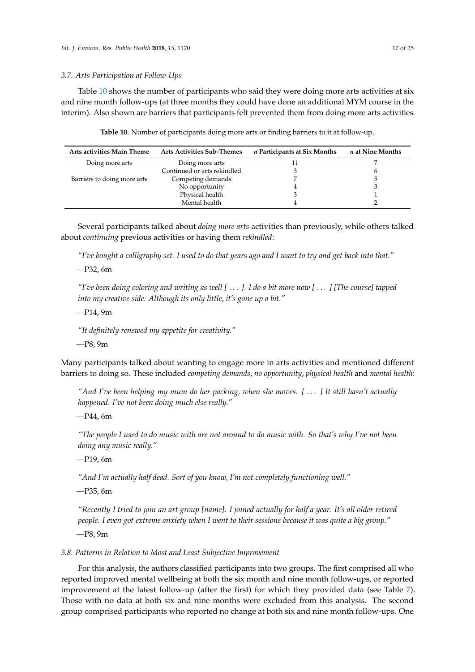#### *3.7. Arts Participation at Follow-Ups*

Table [10](#page-16-0) shows the number of participants who said they were doing more arts activities at six and nine month follow-ups (at three months they could have done an additional MYM course in the interim). Also shown are barriers that participants felt prevented them from doing more arts activities.

**Table 10.** Number of participants doing more arts or finding barriers to it at follow-up.

<span id="page-16-0"></span>

| Arts activities Main Theme  | <b>Arts Activities Sub-Themes</b> | <i>n</i> Participants at Six Months | <i>n</i> at Nine Months |
|-----------------------------|-----------------------------------|-------------------------------------|-------------------------|
| Doing more arts             | Doing more arts                   |                                     |                         |
|                             | Continued or arts rekindled       |                                     |                         |
| Barriers to doing more arts | Competing demands                 |                                     |                         |
|                             | No opportunity                    |                                     |                         |
|                             | Physical health                   |                                     |                         |
|                             | Mental health                     |                                     |                         |

Several participants talked about *doing more arts* activities than previously, while others talked about *continuing* previous activities or having them *rekindled*:

*"I've bought a calligraphy set. I used to do that years ago and I want to try and get back into that."*

—P32, 6m

*"I've been doing coloring and writing as well [* . . . *]. I do a bit more now [* . . . *] [The course] tapped into my creative side. Although its only little, it's gone up a bit."*

—P14, 9m

*"It definitely renewed my appetite for creativity."*

—P8, 9m

Many participants talked about wanting to engage more in arts activities and mentioned different barriers to doing so. These included *competing demands*, *no opportunity*, *physical health* and *mental health*:

*"And I've been helping my mum do her packing, when she moves. [* . . . *] It still hasn't actually happened. I've not been doing much else really."*

—P44, 6m

*"The people I used to do music with are not around to do music with. So that's why I've not been doing any music really."*

—P19, 6m

*"And I'm actually half dead. Sort of you know, I'm not completely functioning well."*

—P35, 6m

*"Recently I tried to join an art group [name]. I joined actually for half a year. It's all older retired people. I even got extreme anxiety when I went to their sessions because it was quite a big group."* —P8, 9m

*3.8. Patterns in Relation to Most and Least Subjective Improvement*

For this analysis, the authors classified participants into two groups. The first comprised all who reported improved mental wellbeing at both the six month and nine month follow-ups, or reported improvement at the latest follow-up (after the first) for which they provided data (see Table [7\)](#page-13-0). Those with no data at both six and nine months were excluded from this analysis. The second group comprised participants who reported no change at both six and nine month follow-ups. One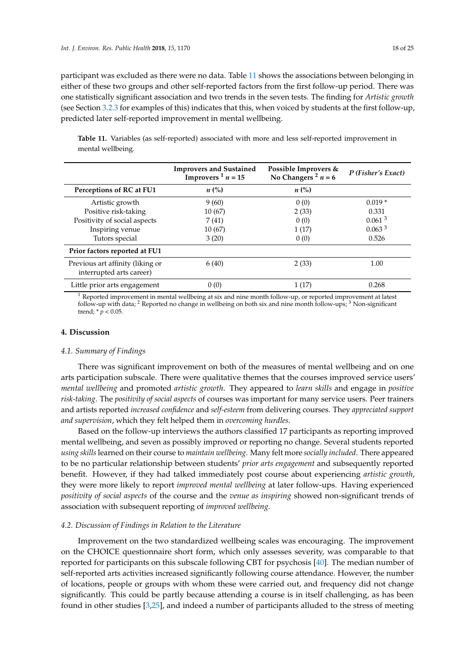participant was excluded as there were no data. Table [11](#page-17-0) shows the associations between belonging in either of these two groups and other self-reported factors from the first follow-up period. There was one statistically significant association and two trends in the seven tests. The finding for *Artistic growth* (see Section [3.2.3](#page-8-0) for examples of this) indicates that this, when voiced by students at the first follow-up, predicted later self-reported improvement in mental wellbeing.

<span id="page-17-0"></span>**Table 11.** Variables (as self-reported) associated with more and less self-reported improvement in mental wellbeing.

|                                                              | <b>Improvers and Sustained</b><br>Improvers $\frac{1}{n}$ n = 15 | Possible Improvers &<br>No Changers <sup>2</sup> $n = 6$ | P (Fisher's Exact) |
|--------------------------------------------------------------|------------------------------------------------------------------|----------------------------------------------------------|--------------------|
| Perceptions of RC at FU1                                     | $n\ (\%)$                                                        | $n\ (\%)$                                                |                    |
| Artistic growth                                              | 9(60)                                                            | 0(0)                                                     | $0.019*$           |
| Positive risk-taking                                         | 10(67)                                                           | 2(33)                                                    | 0.331              |
| Positivity of social aspects                                 | 7(41)                                                            | 0(0)                                                     | 0.061 <sup>3</sup> |
| Inspiring venue                                              | 10(67)                                                           | 1(17)                                                    | 0.063 <sup>3</sup> |
| Tutors special                                               | 3(20)                                                            | 0(0)                                                     | 0.526              |
| Prior factors reported at FU1                                |                                                                  |                                                          |                    |
| Previous art affinity (liking or<br>interrupted arts career) | 6(40)                                                            | 2(33)                                                    | 1.00               |
| Little prior arts engagement                                 | 0(0)                                                             | 1(17)                                                    | 0.268              |

 $1$  Reported improvement in mental wellbeing at six and nine month follow-up, or reported improvement at latest follow-up with data; <sup>2</sup> Reported no change in wellbeing on both six and nine month follow-ups; <sup>3</sup> Non-significant trend; \* *p* < 0.05.

### **4. Discussion**

#### *4.1. Summary of Findings*

There was significant improvement on both of the measures of mental wellbeing and on one arts participation subscale. There were qualitative themes that the courses improved service users' *mental wellbeing* and promoted *artistic growth*. They appeared to *learn skills* and engage in *positive risk-taking*. The *positivity of social aspects* of courses was important for many service users. Peer trainers and artists reported *increased confidence* and *self-esteem* from delivering courses. They *appreciated support and supervision*, which they felt helped them in *overcoming hurdles*.

Based on the follow-up interviews the authors classified 17 participants as reporting improved mental wellbeing, and seven as possibly improved or reporting no change. Several students reported *using skills* learned on their course to *maintain wellbeing*. Many felt more *socially included*. There appeared to be no particular relationship between students' *prior arts engagement* and subsequently reported benefit. However, if they had talked immediately post course about experiencing *artistic growth*, they were more likely to report *improved mental wellbeing* at later follow-ups. Having experienced *positivity of social aspects* of the course and the *venue as inspiring* showed non-significant trends of association with subsequent reporting of *improved wellbeing*.

### *4.2. Discussion of Findings in Relation to the Literature*

Improvement on the two standardized wellbeing scales was encouraging. The improvement on the CHOICE questionnaire short form, which only assesses severity, was comparable to that reported for participants on this subscale following CBT for psychosis [\[40\]](#page-23-7). The median number of self-reported arts activities increased significantly following course attendance. However, the number of locations, people or groups with whom these were carried out, and frequency did not change significantly. This could be partly because attending a course is in itself challenging, as has been found in other studies [\[3](#page-21-2)[,25\]](#page-22-19), and indeed a number of participants alluded to the stress of meeting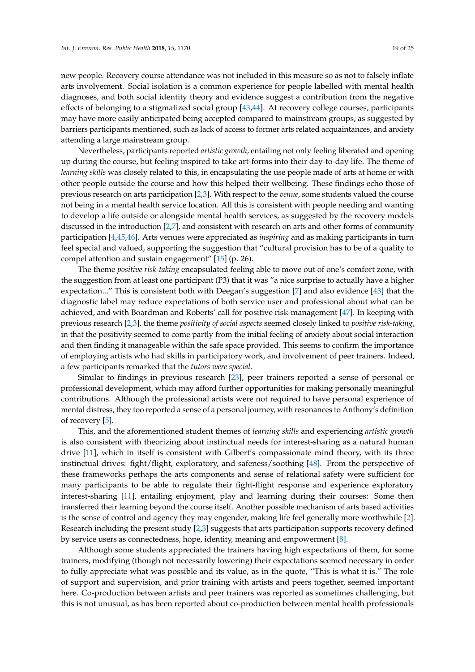new people. Recovery course attendance was not included in this measure so as not to falsely inflate arts involvement. Social isolation is a common experience for people labelled with mental health diagnoses, and both social identity theory and evidence suggest a contribution from the negative effects of belonging to a stigmatized social group [\[43](#page-23-10)[,44\]](#page-23-11). At recovery college courses, participants may have more easily anticipated being accepted compared to mainstream groups, as suggested by barriers participants mentioned, such as lack of access to former arts related acquaintances, and anxiety attending a large mainstream group.

Nevertheless, participants reported *artistic growth*, entailing not only feeling liberated and opening up during the course, but feeling inspired to take art-forms into their day-to-day life. The theme of *learning skills* was closely related to this, in encapsulating the use people made of arts at home or with other people outside the course and how this helped their wellbeing. These findings echo those of previous research on arts participation [\[2](#page-21-1)[,3\]](#page-21-2). With respect to the *venue*, some students valued the course not being in a mental health service location. All this is consistent with people needing and wanting to develop a life outside or alongside mental health services, as suggested by the recovery models discussed in the introduction [\[2](#page-21-1)[,7\]](#page-22-1), and consistent with research on arts and other forms of community participation [\[4](#page-21-3)[,45](#page-23-12)[,46\]](#page-23-13). Arts venues were appreciated as *inspiring* and as making participants in turn feel special and valued, supporting the suggestion that "cultural provision has to be of a quality to compel attention and sustain engagement" [\[15\]](#page-22-9) (p. 26).

The theme *positive risk-taking* encapsulated feeling able to move out of one's comfort zone, with the suggestion from at least one participant (P3) that it was "a nice surprise to actually have a higher expectation..." This is consistent both with Deegan's suggestion [\[7\]](#page-22-1) and also evidence [\[43\]](#page-23-10) that the diagnostic label may reduce expectations of both service user and professional about what can be achieved, and with Boardman and Roberts' call for positive risk-management [\[47\]](#page-23-14). In keeping with previous research [\[2,](#page-21-1)[3\]](#page-21-2), the theme *positivity of social aspects* seemed closely linked to *positive risk-taking*, in that the positivity seemed to come partly from the initial feeling of anxiety about social interaction and then finding it manageable within the safe space provided. This seems to confirm the importance of employing artists who had skills in participatory work, and involvement of peer trainers. Indeed, a few participants remarked that the *tutors were special*.

Similar to findings in previous research [\[23\]](#page-22-17), peer trainers reported a sense of personal or professional development, which may afford further opportunities for making personally meaningful contributions. Although the professional artists were not required to have personal experience of mental distress, they too reported a sense of a personal journey, with resonances to Anthony's definition of recovery [\[5\]](#page-21-4).

This, and the aforementioned student themes of *learning skills* and experiencing *artistic growth* is also consistent with theorizing about instinctual needs for interest-sharing as a natural human drive [\[11\]](#page-22-5), which in itself is consistent with Gilbert's compassionate mind theory, with its three instinctual drives: fight/flight, exploratory, and safeness/soothing [\[48\]](#page-23-15). From the perspective of these frameworks perhaps the arts components and sense of relational safety were sufficient for many participants to be able to regulate their fight-flight response and experience exploratory interest-sharing [\[11\]](#page-22-5), entailing enjoyment, play and learning during their courses: Some then transferred their learning beyond the course itself. Another possible mechanism of arts based activities is the sense of control and agency they may engender, making life feel generally more worthwhile [\[2\]](#page-21-1). Research including the present study [\[2](#page-21-1)[,3\]](#page-21-2) suggests that arts participation supports recovery defined by service users as connectedness, hope, identity, meaning and empowerment [\[8\]](#page-22-2).

Although some students appreciated the trainers having high expectations of them, for some trainers, modifying (though not necessarily lowering) their expectations seemed necessary in order to fully appreciate what was possible and its value, as in the quote, "This is what it is." The role of support and supervision, and prior training with artists and peers together, seemed important here. Co-production between artists and peer trainers was reported as sometimes challenging, but this is not unusual, as has been reported about co-production between mental health professionals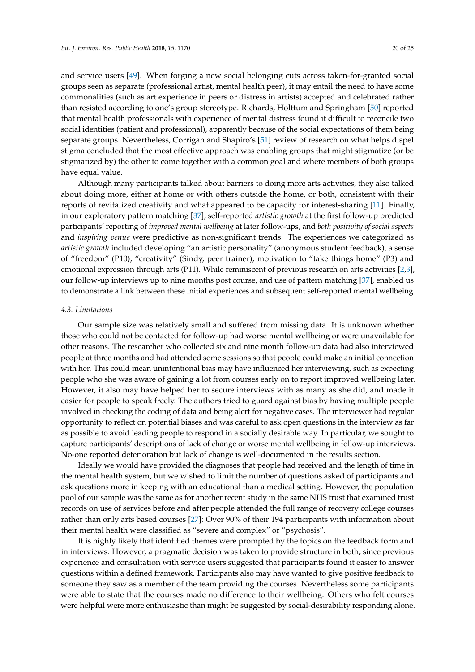and service users [\[49\]](#page-23-16). When forging a new social belonging cuts across taken-for-granted social groups seen as separate (professional artist, mental health peer), it may entail the need to have some commonalities (such as art experience in peers or distress in artists) accepted and celebrated rather than resisted according to one's group stereotype. Richards, Holttum and Springham [\[50\]](#page-23-17) reported that mental health professionals with experience of mental distress found it difficult to reconcile two social identities (patient and professional), apparently because of the social expectations of them being separate groups. Nevertheless, Corrigan and Shapiro's [\[51\]](#page-23-18) review of research on what helps dispel stigma concluded that the most effective approach was enabling groups that might stigmatize (or be stigmatized by) the other to come together with a common goal and where members of both groups have equal value.

Although many participants talked about barriers to doing more arts activities, they also talked about doing more, either at home or with others outside the home, or both, consistent with their reports of revitalized creativity and what appeared to be capacity for interest-sharing [\[11\]](#page-22-5). Finally, in our exploratory pattern matching [\[37\]](#page-23-4), self-reported *artistic growth* at the first follow-up predicted participants' reporting of *improved mental wellbeing* at later follow-ups, and *both positivity of social aspects* and *inspiring venue* were predictive as non-significant trends. The experiences we categorized as *artistic growth* included developing "an artistic personality" (anonymous student feedback), a sense of "freedom" (P10), "creativity" (Sindy, peer trainer), motivation to "take things home" (P3) and emotional expression through arts (P11). While reminiscent of previous research on arts activities [\[2](#page-21-1)[,3\]](#page-21-2), our follow-up interviews up to nine months post course, and use of pattern matching [\[37\]](#page-23-4), enabled us to demonstrate a link between these initial experiences and subsequent self-reported mental wellbeing.

### *4.3. Limitations*

Our sample size was relatively small and suffered from missing data. It is unknown whether those who could not be contacted for follow-up had worse mental wellbeing or were unavailable for other reasons. The researcher who collected six and nine month follow-up data had also interviewed people at three months and had attended some sessions so that people could make an initial connection with her. This could mean unintentional bias may have influenced her interviewing, such as expecting people who she was aware of gaining a lot from courses early on to report improved wellbeing later. However, it also may have helped her to secure interviews with as many as she did, and made it easier for people to speak freely. The authors tried to guard against bias by having multiple people involved in checking the coding of data and being alert for negative cases. The interviewer had regular opportunity to reflect on potential biases and was careful to ask open questions in the interview as far as possible to avoid leading people to respond in a socially desirable way. In particular, we sought to capture participants' descriptions of lack of change or worse mental wellbeing in follow-up interviews. No-one reported deterioration but lack of change is well-documented in the results section.

Ideally we would have provided the diagnoses that people had received and the length of time in the mental health system, but we wished to limit the number of questions asked of participants and ask questions more in keeping with an educational than a medical setting. However, the population pool of our sample was the same as for another recent study in the same NHS trust that examined trust records on use of services before and after people attended the full range of recovery college courses rather than only arts based courses [\[27\]](#page-22-21): Over 90% of their 194 participants with information about their mental health were classified as "severe and complex" or "psychosis".

It is highly likely that identified themes were prompted by the topics on the feedback form and in interviews. However, a pragmatic decision was taken to provide structure in both, since previous experience and consultation with service users suggested that participants found it easier to answer questions within a defined framework. Participants also may have wanted to give positive feedback to someone they saw as a member of the team providing the courses. Nevertheless some participants were able to state that the courses made no difference to their wellbeing. Others who felt courses were helpful were more enthusiastic than might be suggested by social-desirability responding alone.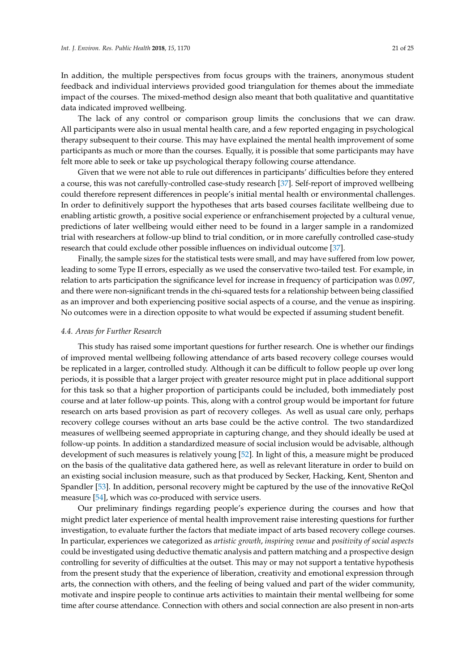In addition, the multiple perspectives from focus groups with the trainers, anonymous student feedback and individual interviews provided good triangulation for themes about the immediate impact of the courses. The mixed-method design also meant that both qualitative and quantitative data indicated improved wellbeing.

The lack of any control or comparison group limits the conclusions that we can draw. All participants were also in usual mental health care, and a few reported engaging in psychological therapy subsequent to their course. This may have explained the mental health improvement of some participants as much or more than the courses. Equally, it is possible that some participants may have felt more able to seek or take up psychological therapy following course attendance.

Given that we were not able to rule out differences in participants' difficulties before they entered a course, this was not carefully-controlled case-study research [\[37\]](#page-23-4). Self-report of improved wellbeing could therefore represent differences in people's initial mental health or environmental challenges. In order to definitively support the hypotheses that arts based courses facilitate wellbeing due to enabling artistic growth, a positive social experience or enfranchisement projected by a cultural venue, predictions of later wellbeing would either need to be found in a larger sample in a randomized trial with researchers at follow-up blind to trial condition, or in more carefully controlled case-study research that could exclude other possible influences on individual outcome [\[37\]](#page-23-4).

Finally, the sample sizes for the statistical tests were small, and may have suffered from low power, leading to some Type II errors, especially as we used the conservative two-tailed test. For example, in relation to arts participation the significance level for increase in frequency of participation was 0.097, and there were non-significant trends in the chi-squared tests for a relationship between being classified as an improver and both experiencing positive social aspects of a course, and the venue as inspiring. No outcomes were in a direction opposite to what would be expected if assuming student benefit.

### *4.4. Areas for Further Research*

This study has raised some important questions for further research. One is whether our findings of improved mental wellbeing following attendance of arts based recovery college courses would be replicated in a larger, controlled study. Although it can be difficult to follow people up over long periods, it is possible that a larger project with greater resource might put in place additional support for this task so that a higher proportion of participants could be included, both immediately post course and at later follow-up points. This, along with a control group would be important for future research on arts based provision as part of recovery colleges. As well as usual care only, perhaps recovery college courses without an arts base could be the active control. The two standardized measures of wellbeing seemed appropriate in capturing change, and they should ideally be used at follow-up points. In addition a standardized measure of social inclusion would be advisable, although development of such measures is relatively young [\[52\]](#page-23-19). In light of this, a measure might be produced on the basis of the qualitative data gathered here, as well as relevant literature in order to build on an existing social inclusion measure, such as that produced by Secker, Hacking, Kent, Shenton and Spandler [\[53\]](#page-24-0). In addition, personal recovery might be captured by the use of the innovative ReQol measure [\[54\]](#page-24-1), which was co-produced with service users.

Our preliminary findings regarding people's experience during the courses and how that might predict later experience of mental health improvement raise interesting questions for further investigation, to evaluate further the factors that mediate impact of arts based recovery college courses. In particular, experiences we categorized as *artistic growth*, *inspiring venue* and *positivity of social aspects* could be investigated using deductive thematic analysis and pattern matching and a prospective design controlling for severity of difficulties at the outset. This may or may not support a tentative hypothesis from the present study that the experience of liberation, creativity and emotional expression through arts, the connection with others, and the feeling of being valued and part of the wider community, motivate and inspire people to continue arts activities to maintain their mental wellbeing for some time after course attendance. Connection with others and social connection are also present in non-arts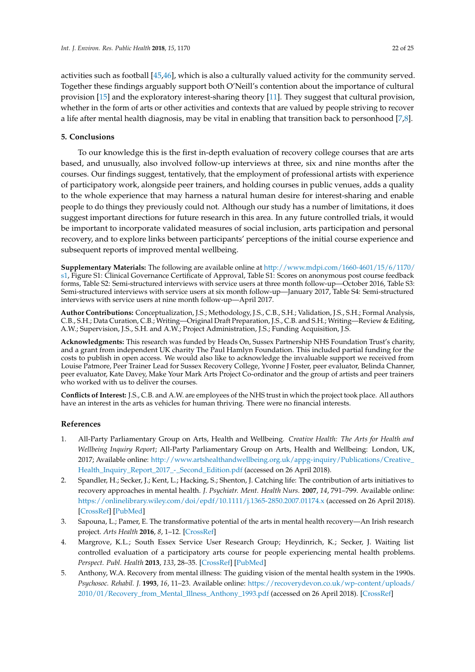activities such as football [\[45](#page-23-12)[,46\]](#page-23-13), which is also a culturally valued activity for the community served. Together these findings arguably support both O'Neill's contention about the importance of cultural provision [\[15\]](#page-22-9) and the exploratory interest-sharing theory [\[11\]](#page-22-5). They suggest that cultural provision, whether in the form of arts or other activities and contexts that are valued by people striving to recover a life after mental health diagnosis, may be vital in enabling that transition back to personhood [\[7](#page-22-1)[,8\]](#page-22-2).

# **5. Conclusions**

To our knowledge this is the first in-depth evaluation of recovery college courses that are arts based, and unusually, also involved follow-up interviews at three, six and nine months after the courses. Our findings suggest, tentatively, that the employment of professional artists with experience of participatory work, alongside peer trainers, and holding courses in public venues, adds a quality to the whole experience that may harness a natural human desire for interest-sharing and enable people to do things they previously could not. Although our study has a number of limitations, it does suggest important directions for future research in this area. In any future controlled trials, it would be important to incorporate validated measures of social inclusion, arts participation and personal recovery, and to explore links between participants' perceptions of the initial course experience and subsequent reports of improved mental wellbeing.

**Supplementary Materials:** The following are available online at [http://www.mdpi.com/1660-4601/15/6/1170/](http://www.mdpi.com/1660-4601/15/6/1170/s1) [s1,](http://www.mdpi.com/1660-4601/15/6/1170/s1) Figure S1: Clinical Governance Certificate of Approval, Table S1: Scores on anonymous post course feedback forms, Table S2: Semi-structured interviews with service users at three month follow-up—October 2016, Table S3: Semi-structured interviews with service users at six month follow-up—January 2017, Table S4: Semi-structured interviews with service users at nine month follow-up—April 2017.

**Author Contributions:** Conceptualization, J.S.; Methodology, J.S., C.B., S.H.; Validation, J.S., S.H.; Formal Analysis, C.B., S.H.; Data Curation, C.B.; Writing—Original Draft Preparation, J.S., C.B. and S.H.; Writing—Review & Editing, A.W.; Supervision, J.S., S.H. and A.W.; Project Administration, J.S.; Funding Acquisition, J.S.

**Acknowledgments:** This research was funded by Heads On, Sussex Partnership NHS Foundation Trust's charity, and a grant from independent UK charity The Paul Hamlyn Foundation. This included partial funding for the costs to publish in open access. We would also like to acknowledge the invaluable support we received from Louise Patmore, Peer Trainer Lead for Sussex Recovery College, Yvonne J Foster, peer evaluator, Belinda Channer, peer evaluator, Kate Davey, Make Your Mark Arts Project Co-ordinator and the group of artists and peer trainers who worked with us to deliver the courses.

**Conflicts of Interest:** J.S., C.B. and A.W. are employees of the NHS trust in which the project took place. All authors have an interest in the arts as vehicles for human thriving. There were no financial interests.

# **References**

- <span id="page-21-0"></span>1. All-Party Parliamentary Group on Arts, Health and Wellbeing. *Creative Health: The Arts for Health and Wellbeing Inquiry Report*; All-Party Parliamentary Group on Arts, Health and Wellbeing: London, UK, 2017; Available online: [http://www.artshealthandwellbeing.org.uk/appg-inquiry/Publications/Creative\\_](http://www.artshealthandwellbeing.org.uk/appg-inquiry/Publications/Creative_Health_Inquiry_Report_2017_-_Second_Edition.pdf) [Health\\_Inquiry\\_Report\\_2017\\_-\\_Second\\_Edition.pdf](http://www.artshealthandwellbeing.org.uk/appg-inquiry/Publications/Creative_Health_Inquiry_Report_2017_-_Second_Edition.pdf) (accessed on 26 April 2018).
- <span id="page-21-1"></span>2. Spandler, H.; Secker, J.; Kent, L.; Hacking, S.; Shenton, J. Catching life: The contribution of arts initiatives to recovery approaches in mental health. *J. Psychiatr. Ment. Health Nurs.* **2007**, *14*, 791–799. Available online: <https://onlinelibrary.wiley.com/doi/epdf/10.1111/j.1365-2850.2007.01174.x> (accessed on 26 April 2018). [\[CrossRef\]](http://dx.doi.org/10.1111/j.1365-2850.2007.01174.x) [\[PubMed\]](http://www.ncbi.nlm.nih.gov/pubmed/18039304)
- <span id="page-21-2"></span>3. Sapouna, L.; Pamer, E. The transformative potential of the arts in mental health recovery—An Irish research project. *Arts Health* **2016**, *8*, 1–12. [\[CrossRef\]](http://dx.doi.org/10.1080/17533015.2014.957329)
- <span id="page-21-3"></span>4. Margrove, K.L.; South Essex Service User Research Group; Heydinrich, K.; Secker, J. Waiting list controlled evaluation of a participatory arts course for people experiencing mental health problems. *Perspect. Publ. Health* **2013**, *133*, 28–35. [\[CrossRef\]](http://dx.doi.org/10.1177/1757913912461587) [\[PubMed\]](http://www.ncbi.nlm.nih.gov/pubmed/23034832)
- <span id="page-21-4"></span>5. Anthony, W.A. Recovery from mental illness: The guiding vision of the mental health system in the 1990s. *Psychosoc. Rehabil. J.* **1993**, *16*, 11–23. Available online: [https://recoverydevon.co.uk/wp-content/uploads/](https://recoverydevon.co.uk/wp-content/uploads/2010/01/Recovery_from_Mental_Illness_Anthony_1993.pdf) [2010/01/Recovery\\_from\\_Mental\\_Illness\\_Anthony\\_1993.pdf](https://recoverydevon.co.uk/wp-content/uploads/2010/01/Recovery_from_Mental_Illness_Anthony_1993.pdf) (accessed on 26 April 2018). [\[CrossRef\]](http://dx.doi.org/10.1037/h0095655)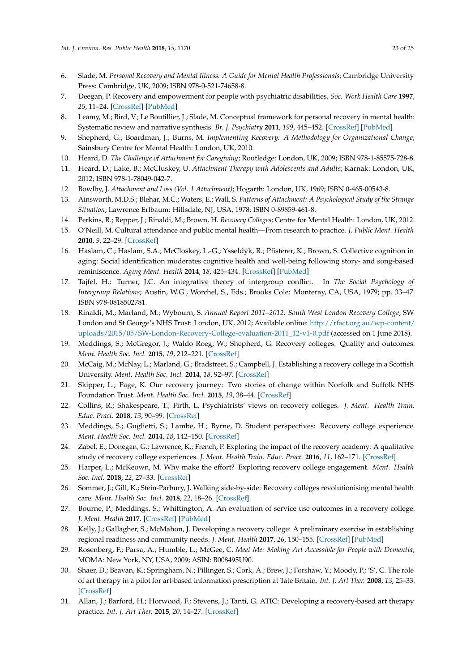- <span id="page-22-0"></span>6. Slade, M. *Personal Recovery and Mental Illness: A Guide for Mental Health Professionals*; Cambridge University Press: Cambridge, UK, 2009; ISBN 978-0-521-74658-8.
- <span id="page-22-1"></span>7. Deegan, P. Recovery and empowerment for people with psychiatric disabilities. *Soc. Work Health Care* **1997**, *25*, 11–24. [\[CrossRef\]](http://dx.doi.org/10.1300/J010v25n03_02) [\[PubMed\]](http://www.ncbi.nlm.nih.gov/pubmed/9358596)
- <span id="page-22-2"></span>8. Leamy, M.; Bird, V.; Le Boutillier, J.; Slade, M. Conceptual framework for personal recovery in mental health: Systematic review and narrative synthesis. *Br. J. Psychiatry* **2011**, *199*, 445–452. [\[CrossRef\]](http://dx.doi.org/10.1192/bjp.bp.110.083733) [\[PubMed\]](http://www.ncbi.nlm.nih.gov/pubmed/22130746)
- <span id="page-22-3"></span>9. Shepherd, G.; Boardman, J.; Burns, M. *Implementing Recovery: A Methodology for Organizational Change*; Sainsbury Centre for Mental Health: London, UK, 2010.
- <span id="page-22-4"></span>10. Heard, D. *The Challenge of Attachment for Caregiving*; Routledge: London, UK, 2009; ISBN 978-1-85575-728-8.
- <span id="page-22-5"></span>11. Heard, D.; Lake, B.; McCluskey, U. *Attachment Therapy with Adolescents and Adults*; Karnak: London, UK, 2012; ISBN 978-1-78049-042-7.
- <span id="page-22-6"></span>12. Bowlby, J. *Attachment and Loss (Vol. 1 Attachment)*; Hogarth: London, UK, 1969; ISBN 0-465-00543-8.
- <span id="page-22-7"></span>13. Ainsworth, M.D.S.; Blehar, M.C.; Waters, E.; Wall, S. *Patterns of Attachment: A Psychological Study of the Strange Situation*; Lawrence Erlbaum: Hillsdale, NJ, USA, 1978; ISBN 0-89859-461-8.
- <span id="page-22-8"></span>14. Perkins, R.; Repper, J.; Rinaldi, M.; Brown, H. *Recovery Colleges*; Centre for Mental Health: London, UK, 2012.
- <span id="page-22-9"></span>15. O'Neill, M. Cultural attendance and public mental health—From research to practice. *J. Public Ment. Health* **2010**, *9*, 22–29. [\[CrossRef\]](http://dx.doi.org/10.5042/jpmh.2010.0700)
- <span id="page-22-10"></span>16. Haslam, C.; Haslam, S.A.; McCloskey, L.-G.; Ysseldyk, R.; Pfisterer, K.; Brown, S. Collective cognition in aging: Social identification moderates cognitive health and well-being following story- and song-based reminiscence. *Aging Ment. Health* **2014**, *18*, 425–434. [\[CrossRef\]](http://dx.doi.org/10.1080/13607863.2013.845871) [\[PubMed\]](http://www.ncbi.nlm.nih.gov/pubmed/24131035)
- <span id="page-22-11"></span>17. Tajfel, H.; Turner, J.C. An integrative theory of intergroup conflict. In *The Social Psychology of Intergroup Relations*; Austin, W.G., Worchel, S., Eds.; Brooks Cole: Monteray, CA, USA, 1979; pp. 33–47. ISBN 978-0818502781.
- <span id="page-22-12"></span>18. Rinaldi, M.; Marland, M.; Wybourn, S. *Annual Report 2011–2012: South West London Recovery College*; SW London and St George's NHS Trust: London, UK, 2012; Available online: [http://rfact.org.au/wp-content/](http://rfact.org.au/wp-content/uploads/2015/05/SW-London-Recovery-College-evaluation-2011_12-v1-0.pdf) [uploads/2015/05/SW-London-Recovery-College-evaluation-2011\\_12-v1-0.pdf](http://rfact.org.au/wp-content/uploads/2015/05/SW-London-Recovery-College-evaluation-2011_12-v1-0.pdf) (accessed on 1 June 2018).
- <span id="page-22-13"></span>19. Meddings, S.; McGregor, J.; Waldo Roeg, W.; Shepherd, G. Recovery colleges: Quality and outcomes. *Ment. Health Soc. Incl.* **2015**, *19*, 212–221. [\[CrossRef\]](http://dx.doi.org/10.1108/MHSI-08-2015-0035)
- <span id="page-22-14"></span>20. McCaig, M.; McNay, L.; Marland, G.; Bradstreet, S.; Campbell, J. Establishing a recovery college in a Scottish University. *Ment. Health Soc. Incl.* **2014**, *18*, 92–97. [\[CrossRef\]](http://dx.doi.org/10.1108/MHSI-04-2014-0013)
- <span id="page-22-15"></span>21. Skipper, L.; Page, K. Our recovery journey: Two stories of change within Norfolk and Suffolk NHS Foundation Trust. *Ment. Health Soc. Incl.* **2015**, *19*, 38–44. [\[CrossRef\]](http://dx.doi.org/10.1108/MHSI-12-2014-0040)
- <span id="page-22-16"></span>22. Collins, R.; Shakespeare, T.; Firth, L. Psychiatrists' views on recovery colleges. *J. Ment. Health Train. Educ. Pract.* **2018**, *13*, 90–99. [\[CrossRef\]](http://dx.doi.org/10.1108/JMHTEP-05-2017-0037)
- <span id="page-22-17"></span>23. Meddings, S.; Guglietti, S.; Lambe, H.; Byrne, D. Student perspectives: Recovery college experience. *Ment. Health Soc. Incl.* **2014**, *18*, 142–150. [\[CrossRef\]](http://dx.doi.org/10.1108/MHSI-05-2014-0016)
- <span id="page-22-18"></span>24. Zabel, E.; Donegan, G.; Lawrence, K.; French, P. Exploring the impact of the recovery academy: A qualitative study of recovery college experiences. *J. Ment. Health Train. Educ. Pract.* **2016**, *11*, 162–171. [\[CrossRef\]](http://dx.doi.org/10.1108/JMHTEP-12-2015-0052)
- <span id="page-22-19"></span>25. Harper, L.; McKeown, M. Why make the effort? Exploring recovery college engagement. *Ment. Health Soc. Incl.* **2018**, *22*, 27–33. [\[CrossRef\]](http://dx.doi.org/10.1108/MHSI-10-2017-0043)
- <span id="page-22-20"></span>26. Sommer, J.; Gill, K.; Stein-Parbury, J. Walking side-by-side: Recovery colleges revolutionising mental health care. *Ment. Health Soc. Incl.* **2018**, *22*, 18–26. [\[CrossRef\]](http://dx.doi.org/10.1108/MHSI-11-2017-0050)
- <span id="page-22-21"></span>27. Bourne, P.; Meddings, S.; Whittington, A. An evaluation of service use outcomes in a recovery college. *J. Ment. Health* **2017**. [\[CrossRef\]](http://dx.doi.org/10.1080/09638237.2017.1417557) [\[PubMed\]](http://www.ncbi.nlm.nih.gov/pubmed/29275749)
- <span id="page-22-22"></span>28. Kelly, J.; Gallagher, S.; McMahon, J. Developing a recovery college: A preliminary exercise in establishing regional readiness and community needs. *J. Ment. Health* **2017**, *26*, 150–155. [\[CrossRef\]](http://dx.doi.org/10.1080/09638237.2016.1207227) [\[PubMed\]](http://www.ncbi.nlm.nih.gov/pubmed/27648749)
- <span id="page-22-23"></span>29. Rosenberg, F.; Parsa, A.; Humble, L.; McGee, C. *Meet Me: Making Art Accessible for People with Dementia*; MOMA: New York, NY, USA, 2009; ASIN: B008495U90.
- 30. Shaer, D.; Beavan, K.; Springham, N.; Pillinger, S.; Cork, A.; Brew, J.; Forshaw, Y.; Moody, P.; 'S', C. The role of art therapy in a pilot for art-based information prescription at Tate Britain. *Int. J. Art Ther.* **2008**, *13*, 25–33. [\[CrossRef\]](http://dx.doi.org/10.1080/17454830802069877)
- 31. Allan, J.; Barford, H.; Horwood, F.; Stevens, J.; Tanti, G. ATIC: Developing a recovery-based art therapy practice. *Int. J. Art Ther.* **2015**, *20*, 14–27. [\[CrossRef\]](http://dx.doi.org/10.1080/17454832.2014.968597)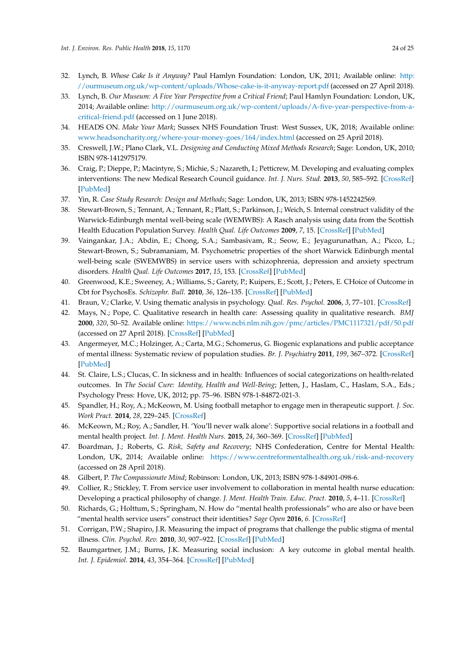- 32. Lynch, B. *Whose Cake Is it Anyway?* Paul Hamlyn Foundation: London, UK, 2011; Available online: [http:](http://ourmuseum.org.uk/wp-content/uploads/Whose-cake-is-it-anyway-report.pdf) [//ourmuseum.org.uk/wp-content/uploads/Whose-cake-is-it-anyway-report.pdf](http://ourmuseum.org.uk/wp-content/uploads/Whose-cake-is-it-anyway-report.pdf) (accessed on 27 April 2018).
- <span id="page-23-0"></span>33. Lynch, B. *Our Museum: A Five Year Perspective from a Critical Friend*; Paul Hamlyn Foundation: London, UK, 2014; Available online: [http://ourmuseum.org.uk/wp-content/uploads/A-five-year-perspective-from-a](http://ourmuseum.org.uk/wp-content/uploads/A-five-year-perspective-from-a-critical-friend.pdf)[critical-friend.pdf](http://ourmuseum.org.uk/wp-content/uploads/A-five-year-perspective-from-a-critical-friend.pdf) (accessed on 1 June 2018).
- <span id="page-23-1"></span>34. HEADS ON. *Make Your Mark*; Sussex NHS Foundation Trust: West Sussex, UK, 2018; Available online: <www.headsoncharity.org/where-your-money-goes/164/index.html> (accessed on 25 April 2018).
- <span id="page-23-2"></span>35. Creswell, J.W.; Plano Clark, V.L. *Designing and Conducting Mixed Methods Research*; Sage: London, UK, 2010; ISBN 978-1412975179.
- <span id="page-23-3"></span>36. Craig, P.; Dieppe, P.; Macintyre, S.; Michie, S.; Nazareth, I.; Petticrew, M. Developing and evaluating complex interventions: The new Medical Research Council guidance. *Int. J. Nurs. Stud.* **2013**, *50*, 585–592. [\[CrossRef\]](http://dx.doi.org/10.1016/j.ijnurstu.2012.09.009) [\[PubMed\]](http://www.ncbi.nlm.nih.gov/pubmed/23159017)
- <span id="page-23-4"></span>37. Yin, R. *Case Study Research: Design and Methods*; Sage: London, UK, 2013; ISBN 978-1452242569.
- <span id="page-23-5"></span>38. Stewart-Brown, S.; Tennant, A.; Tennant, R.; Platt, S.; Parkinson, J.; Weich, S. Internal construct validity of the Warwick-Edinburgh mental well-being scale (WEMWBS): A Rasch analysis using data from the Scottish Health Education Population Survey. *Health Qual. Life Outcomes* **2009**, *7*, 15. [\[CrossRef\]](http://dx.doi.org/10.1186/1477-7525-7-15) [\[PubMed\]](http://www.ncbi.nlm.nih.gov/pubmed/19228398)
- <span id="page-23-6"></span>39. Vaingankar, J.A.; Abdin, E.; Chong, S.A.; Sambasivam, R.; Seow, E.; Jeyagurunathan, A.; Picco, L.; Stewart-Brown, S.; Subramaniam, M. Psychometric properties of the short Warwick Edinburgh mental well-being scale (SWEMWBS) in service users with schizophrenia, depression and anxiety spectrum disorders. *Health Qual. Life Outcomes* **2017**, *15*, 153. [\[CrossRef\]](http://dx.doi.org/10.1186/s12955-017-0728-3) [\[PubMed\]](http://www.ncbi.nlm.nih.gov/pubmed/28764770)
- <span id="page-23-7"></span>40. Greenwood, K.E.; Sweeney, A.; Williams, S.; Garety, P.; Kuipers, E.; Scott, J.; Peters, E. CHoice of Outcome in Cbt for PsychosEs. *Schizophr. Bull.* **2010**, *36*, 126–135. [\[CrossRef\]](http://dx.doi.org/10.1093/schbul/sbp117) [\[PubMed\]](http://www.ncbi.nlm.nih.gov/pubmed/19880823)
- <span id="page-23-8"></span>41. Braun, V.; Clarke, V. Using thematic analysis in psychology. *Qual. Res. Psychol.* **2006**, *3*, 77–101. [\[CrossRef\]](http://dx.doi.org/10.1191/1478088706qp063oa)
- <span id="page-23-9"></span>42. Mays, N.; Pope, C. Qualitative research in health care: Assessing quality in qualitative research. *BMJ* **2000**, *320*, 50–52. Available online: <https://www.ncbi.nlm.nih.gov/pmc/articles/PMC1117321/pdf/50.pdf> (accessed on 27 April 2018). [\[CrossRef\]](http://dx.doi.org/10.1136/bmj.320.7226.50) [\[PubMed\]](http://www.ncbi.nlm.nih.gov/pubmed/10617534)
- <span id="page-23-10"></span>43. Angermeyer, M.C.; Holzinger, A.; Carta, M.G.; Schomerus, G. Biogenic explanations and public acceptance of mental illness: Systematic review of population studies. *Br. J. Psychiatry* **2011**, *199*, 367–372. [\[CrossRef\]](http://dx.doi.org/10.1192/bjp.bp.110.085563) [\[PubMed\]](http://www.ncbi.nlm.nih.gov/pubmed/22045945)
- <span id="page-23-11"></span>44. St. Claire, L.S.; Clucas, C. In sickness and in health: Influences of social categorizations on health-related outcomes. In *The Social Cure: Identity, Health and Well-Being*; Jetten, J., Haslam, C., Haslam, S.A., Eds.; Psychology Press: Hove, UK, 2012; pp. 75–96. ISBN 978-1-84872-021-3.
- <span id="page-23-12"></span>45. Spandler, H.; Roy, A.; McKeown, M. Using football metaphor to engage men in therapeutic support. *J. Soc. Work Pract.* **2014**, *28*, 229–245. [\[CrossRef\]](http://dx.doi.org/10.1080/02650533.2013.853286)
- <span id="page-23-13"></span>46. McKeown, M.; Roy, A.; Sandler, H. 'You'll never walk alone': Supportive social relations in a football and mental health project. *Int. J. Ment. Health Nurs.* **2015**, *24*, 360–369. [\[CrossRef\]](http://dx.doi.org/10.1111/inm.12122) [\[PubMed\]](http://www.ncbi.nlm.nih.gov/pubmed/25676485)
- <span id="page-23-14"></span>47. Boardman, J.; Roberts, G. *Risk, Safety and Recovery*; NHS Confederation, Centre for Mental Health: London, UK, 2014; Available online: <https://www.centreformentalhealth.org.uk/risk-and-recovery> (accessed on 28 April 2018).
- <span id="page-23-15"></span>48. Gilbert, P. *The Compassionate Mind*; Robinson: London, UK, 2013; ISBN 978-1-84901-098-6.
- <span id="page-23-16"></span>49. Collier, R.; Stickley, T. From service user involvement to collaboration in mental health nurse education: Developing a practical philosophy of change. *J. Ment. Health Train. Educ. Pract.* **2010**, *5*, 4–11. [\[CrossRef\]](http://dx.doi.org/10.5042/jmhtep.2010.0685)
- <span id="page-23-17"></span>50. Richards, G.; Holttum, S.; Springham, N. How do "mental health professionals" who are also or have been "mental health service users" construct their identities? *Sage Open* **2016**, *6*. [\[CrossRef\]](http://dx.doi.org/10.1177/2158244015621348)
- <span id="page-23-18"></span>51. Corrigan, P.W.; Shapiro, J.R. Measuring the impact of programs that challenge the public stigma of mental illness. *Clin. Psychol. Rev.* **2010**, *30*, 907–922. [\[CrossRef\]](http://dx.doi.org/10.1016/j.cpr.2010.06.004) [\[PubMed\]](http://www.ncbi.nlm.nih.gov/pubmed/20674114)
- <span id="page-23-19"></span>52. Baumgartner, J.M.; Burns, J.K. Measuring social inclusion: A key outcome in global mental health. *Int. J. Epidemiol.* **2014**, *43*, 354–364. [\[CrossRef\]](http://dx.doi.org/10.1093/ije/dyt224) [\[PubMed\]](http://www.ncbi.nlm.nih.gov/pubmed/24306926)